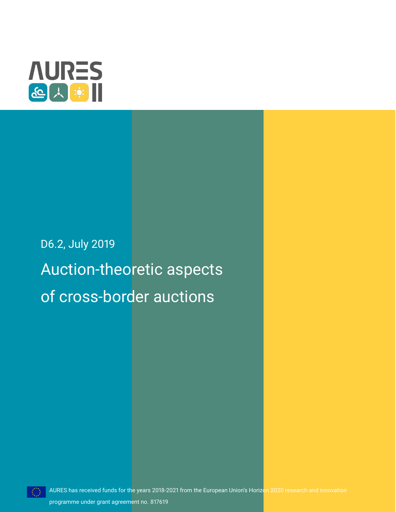

# D6.2, July 2019 Auction-theoretic aspects of cross-border auctions

programme under grant agreement no. 817619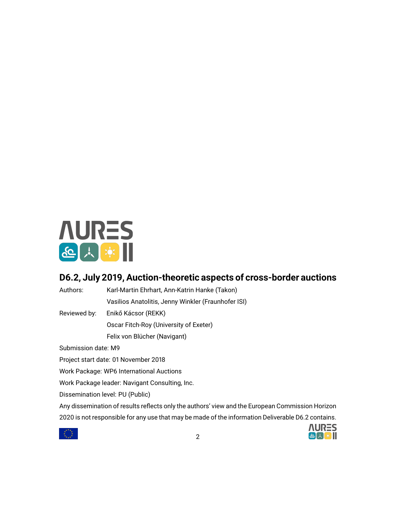

# **D6.2, July 2019, Auction-theoretic aspects of cross-border auctions**

Authors: Karl-Martin Ehrhart, Ann-Katrin Hanke (Takon) Vasilios Anatolitis, Jenny Winkler (Fraunhofer ISI)

Reviewed by: Enikő Kácsor (REKK)

Oscar Fitch-Roy (University of Exeter)

Felix von Blücher (Navigant)

Submission date: M9

Project start date: 01 November 2018

Work Package: WP6 International Auctions

Work Package leader: Navigant Consulting, Inc.

Dissemination level: PU (Public)

Any dissemination of results reflects only the authors' view and the European Commission Horizon 2020 is not responsible for any use that may be made of the information Deliverable D6.2 contains.



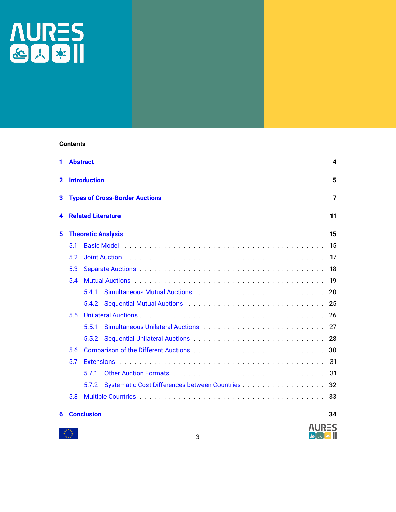

# **Contents**

| 1                                          |                                 | <b>Abstract</b>                                                                                                        | 4   |  |  |  |  |  |  |  |
|--------------------------------------------|---------------------------------|------------------------------------------------------------------------------------------------------------------------|-----|--|--|--|--|--|--|--|
| 2                                          | <b>Introduction</b>             |                                                                                                                        |     |  |  |  |  |  |  |  |
| 3<br><b>Types of Cross-Border Auctions</b> |                                 |                                                                                                                        |     |  |  |  |  |  |  |  |
| 4                                          | <b>Related Literature</b><br>11 |                                                                                                                        |     |  |  |  |  |  |  |  |
| 5<br><b>Theoretic Analysis</b>             |                                 |                                                                                                                        |     |  |  |  |  |  |  |  |
|                                            | 5.1                             |                                                                                                                        | 15  |  |  |  |  |  |  |  |
|                                            | 5.2                             |                                                                                                                        | 17  |  |  |  |  |  |  |  |
|                                            | 5.3                             |                                                                                                                        | 18  |  |  |  |  |  |  |  |
|                                            | 5.4                             |                                                                                                                        | 19  |  |  |  |  |  |  |  |
|                                            |                                 | Simultaneous Mutual Auctions (Fig. 2014) 3. The Context Context Context Context Context Context Context Context<br>541 | 20  |  |  |  |  |  |  |  |
|                                            |                                 | 5.4.2                                                                                                                  | 25  |  |  |  |  |  |  |  |
|                                            | 5.5                             |                                                                                                                        | 26  |  |  |  |  |  |  |  |
|                                            |                                 | 5.5.1                                                                                                                  | 27  |  |  |  |  |  |  |  |
|                                            |                                 | 5.5.2                                                                                                                  | 28  |  |  |  |  |  |  |  |
|                                            | 5.6                             |                                                                                                                        | 30  |  |  |  |  |  |  |  |
| 5.7                                        |                                 |                                                                                                                        | 31  |  |  |  |  |  |  |  |
|                                            |                                 | 571                                                                                                                    | 31  |  |  |  |  |  |  |  |
|                                            |                                 | 5.7.2                                                                                                                  | -32 |  |  |  |  |  |  |  |
|                                            | 5.8                             |                                                                                                                        | 33  |  |  |  |  |  |  |  |
| 6                                          |                                 | <b>Conclusion</b>                                                                                                      | 34  |  |  |  |  |  |  |  |

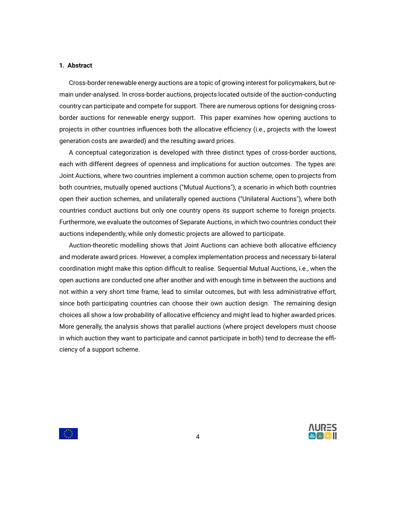# <span id="page-3-0"></span>**1. Abstract**

Cross-border renewable energy auctions are a topic of growing interest for policymakers, but remain under-analysed. In cross-border auctions, projects located outside of the auction-conducting country can participate and compete for support. There are numerous options for designing crossborder auctions for renewable energy support. This paper examines how opening auctions to projects in other countries influences both the allocative efficiency (i.e., projects with the lowest generation costs are awarded) and the resulting award prices.

A conceptual categorization is developed with three distinct types of cross-border auctions, each with different degrees of openness and implications for auction outcomes. The types are: Joint Auctions, where two countries implement a common auction scheme, open to projects from both countries, mutually opened auctions ("Mutual Auctions"), a scenario in which both countries open their auction schemes, and unilaterally opened auctions ("Unilateral Auctions"), where both countries conduct auctions but only one country opens its support scheme to foreign projects. Furthermore, we evaluate the outcomes of Separate Auctions, in which two countries conduct their auctions independently, while only domestic projects are allowed to participate.

Auction-theoretic modelling shows that Joint Auctions can achieve both allocative efficiency and moderate award prices. However, a complex implementation process and necessary bi-lateral coordination might make this option difficult to realise. Sequential Mutual Auctions, i.e., when the open auctions are conducted one after another and with enough time in between the auctions and not within a very short time frame, lead to similar outcomes, but with less administrative effort, since both participating countries can choose their own auction design. The remaining design choices all show a low probability of allocative efficiency and might lead to higher awarded prices. More generally, the analysis shows that parallel auctions (where project developers must choose in which auction they want to participate and cannot participate in both) tend to decrease the efficiency of a support scheme.



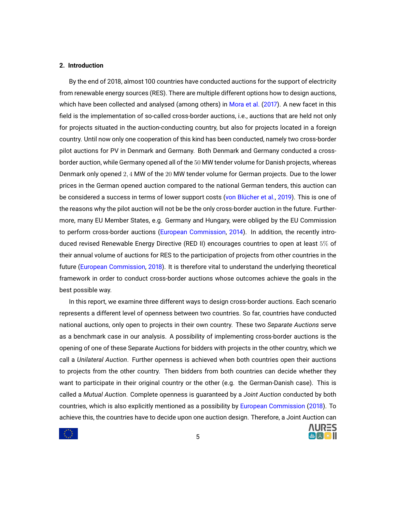# <span id="page-4-0"></span>**2. Introduction**

By the end of 2018, almost 100 countries have conducted auctions for the support of electricity from renewable energy sources (RES). There are multiple different options how to design auctions, which have been collected and analysed (among others) in [Mora et al.](#page-37-0) [\(2017\)](#page-37-0). A new facet in this field is the implementation of so-called cross-border auctions, i.e., auctions that are held not only for projects situated in the auction-conducting country, but also for projects located in a foreign country. Until now only one cooperation of this kind has been conducted, namely two cross-border pilot auctions for PV in Denmark and Germany. Both Denmark and Germany conducted a crossborder auction, while Germany opened all of the 50 MW tender volume for Danish projects, whereas Denmark only opened 2, 4 MW of the 20 MW tender volume for German projects. Due to the lower prices in the German opened auction compared to the national German tenders, this auction can be considered a success in terms of lower support costs [\(von Blücher et al.,](#page-35-0) [2019\)](#page-35-0). This is one of the reasons why the pilot auction will not be be the only cross-border auction in the future. Furthermore, many EU Member States, e.g. Germany and Hungary, were obliged by the EU Commission to perform cross-border auctions [\(European Commission,](#page-35-1) [2014\)](#page-35-1). In addition, the recently introduced revised Renewable Energy Directive (RED II) encourages countries to open at least 5% of their annual volume of auctions for RES to the participation of projects from other countries in the future [\(European Commission,](#page-35-2) [2018\)](#page-35-2). It is therefore vital to understand the underlying theoretical framework in order to conduct cross-border auctions whose outcomes achieve the goals in the best possible way.

In this report, we examine three different ways to design cross-border auctions. Each scenario represents a different level of openness between two countries. So far, countries have conducted national auctions, only open to projects in their own country. These two *Separate Auctions* serve as a benchmark case in our analysis. A possibility of implementing cross-border auctions is the opening of one of these Separate Auctions for bidders with projects in the other country, which we call a *Unilateral Auction*. Further openness is achieved when both countries open their auctions to projects from the other country. Then bidders from both countries can decide whether they want to participate in their original country or the other (e.g. the German-Danish case). This is called a *Mutual Auction*. Complete openness is guaranteed by a *Joint Auction* conducted by both countries, which is also explicitly mentioned as a possibility by [European Commission](#page-35-2) [\(2018\)](#page-35-2). To achieve this, the countries have to decide upon one auction design. Therefore, a Joint Auction can

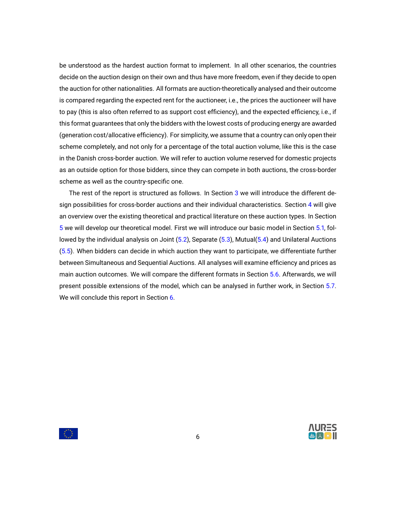be understood as the hardest auction format to implement. In all other scenarios, the countries decide on the auction design on their own and thus have more freedom, even if they decide to open the auction for other nationalities. All formats are auction-theoretically analysed and their outcome is compared regarding the expected rent for the auctioneer, i.e., the prices the auctioneer will have to pay (this is also often referred to as support cost efficiency), and the expected efficiency, i.e., if this format guarantees that only the bidders with the lowest costs of producing energy are awarded (generation cost/allocative efficiency). For simplicity, we assume that a country can only open their scheme completely, and not only for a percentage of the total auction volume, like this is the case in the Danish cross-border auction. We will refer to auction volume reserved for domestic projects as an outside option for those bidders, since they can compete in both auctions, the cross-border scheme as well as the country-specific one.

The rest of the report is structured as follows. In Section [3](#page-6-0) we will introduce the different design possibilities for cross-border auctions and their individual characteristics. Section [4](#page-10-0) will give an overview over the existing theoretical and practical literature on these auction types. In Section [5](#page-14-0) we will develop our theoretical model. First we will introduce our basic model in Section [5.1,](#page-14-1) followed by the individual analysis on Joint [\(5.2\)](#page-16-0), Separate [\(5.3\)](#page-17-0), Mutual[\(5.4\)](#page-18-0) and Unilateral Auctions [\(5.5\)](#page-25-0). When bidders can decide in which auction they want to participate, we differentiate further between Simultaneous and Sequential Auctions. All analyses will examine efficiency and prices as main auction outcomes. We will compare the different formats in Section [5.6.](#page-29-0) Afterwards, we will present possible extensions of the model, which can be analysed in further work, in Section [5.7.](#page-30-0) We will conclude this report in Section [6.](#page-33-0)



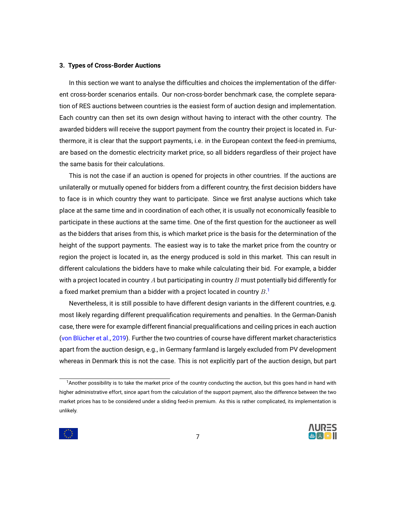# <span id="page-6-0"></span>**3. Types of Cross-Border Auctions**

In this section we want to analyse the difficulties and choices the implementation of the different cross-border scenarios entails. Our non-cross-border benchmark case, the complete separation of RES auctions between countries is the easiest form of auction design and implementation. Each country can then set its own design without having to interact with the other country. The awarded bidders will receive the support payment from the country their project is located in. Furthermore, it is clear that the support payments, i.e. in the European context the feed-in premiums, are based on the domestic electricity market price, so all bidders regardless of their project have the same basis for their calculations.

This is not the case if an auction is opened for projects in other countries. If the auctions are unilaterally or mutually opened for bidders from a different country, the first decision bidders have to face is in which country they want to participate. Since we first analyse auctions which take place at the same time and in coordination of each other, it is usually not economically feasible to participate in these auctions at the same time. One of the first question for the auctioneer as well as the bidders that arises from this, is which market price is the basis for the determination of the height of the support payments. The easiest way is to take the market price from the country or region the project is located in, as the energy produced is sold in this market. This can result in different calculations the bidders have to make while calculating their bid. For example, a bidder with a project located in country  $A$  but participating in country  $B$  must potentially bid differently for a fixed market premium than a bidder with a project located in country  $B$ .<sup>[1](#page-6-1)</sup>

Nevertheless, it is still possible to have different design variants in the different countries, e.g. most likely regarding different prequalification requirements and penalties. In the German-Danish case, there were for example different financial prequalifications and ceiling prices in each auction [\(von Blücher et al.,](#page-35-0) [2019\)](#page-35-0). Further the two countries of course have different market characteristics apart from the auction design, e.g., in Germany farmland is largely excluded from PV development whereas in Denmark this is not the case. This is not explicitly part of the auction design, but part

<span id="page-6-1"></span><sup>1</sup>Another possibility is to take the market price of the country conducting the auction, but this goes hand in hand with higher administrative effort, since apart from the calculation of the support payment, also the difference between the two market prices has to be considered under a sliding feed-in premium. As this is rather complicated, its implementation is unlikely.

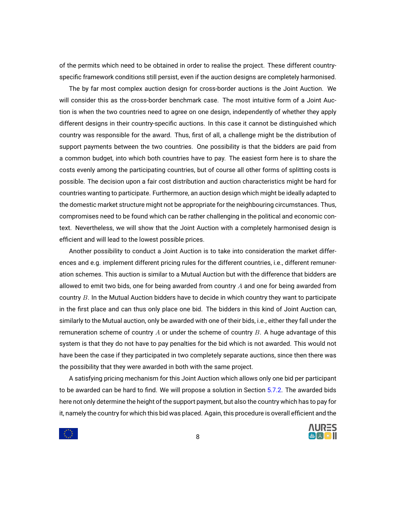of the permits which need to be obtained in order to realise the project. These different countryspecific framework conditions still persist, even if the auction designs are completely harmonised.

The by far most complex auction design for cross-border auctions is the Joint Auction. We will consider this as the cross-border benchmark case. The most intuitive form of a Joint Auction is when the two countries need to agree on one design, independently of whether they apply different designs in their country-specific auctions. In this case it cannot be distinguished which country was responsible for the award. Thus, first of all, a challenge might be the distribution of support payments between the two countries. One possibility is that the bidders are paid from a common budget, into which both countries have to pay. The easiest form here is to share the costs evenly among the participating countries, but of course all other forms of splitting costs is possible. The decision upon a fair cost distribution and auction characteristics might be hard for countries wanting to participate. Furthermore, an auction design which might be ideally adapted to the domestic market structure might not be appropriate for the neighbouring circumstances. Thus, compromises need to be found which can be rather challenging in the political and economic context. Nevertheless, we will show that the Joint Auction with a completely harmonised design is efficient and will lead to the lowest possible prices.

Another possibility to conduct a Joint Auction is to take into consideration the market differences and e.g. implement different pricing rules for the different countries, i.e., different remuneration schemes. This auction is similar to a Mutual Auction but with the difference that bidders are allowed to emit two bids, one for being awarded from country  $A$  and one for being awarded from country B. In the Mutual Auction bidders have to decide in which country they want to participate in the first place and can thus only place one bid. The bidders in this kind of Joint Auction can, similarly to the Mutual auction, only be awarded with one of their bids, i.e., either they fall under the remuneration scheme of country A or under the scheme of country  $B$ . A huge advantage of this system is that they do not have to pay penalties for the bid which is not awarded. This would not have been the case if they participated in two completely separate auctions, since then there was the possibility that they were awarded in both with the same project.

A satisfying pricing mechanism for this Joint Auction which allows only one bid per participant to be awarded can be hard to find. We will propose a solution in Section [5.7.2.](#page-31-0) The awarded bids here not only determine the height of the support payment, but also the country which has to pay for it, namely the country for which this bid was placed. Again, this procedure is overall efficient and the

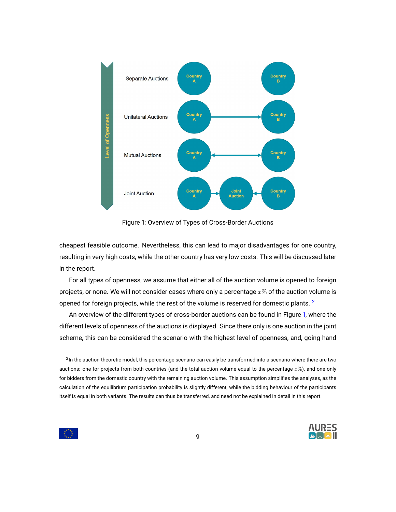<span id="page-8-1"></span>

Figure 1: Overview of Types of Cross-Border Auctions

cheapest feasible outcome. Nevertheless, this can lead to major disadvantages for one country, resulting in very high costs, while the other country has very low costs. This will be discussed later in the report.

For all types of openness, we assume that either all of the auction volume is opened to foreign projects, or none. We will not consider cases where only a percentage  $x\%$  of the auction volume is opened for foreign projects, while the rest of the volume is reserved for domestic plants.  $2$ 

An overview of the different types of cross-border auctions can be found in Figure [1,](#page-8-1) where the different levels of openness of the auctions is displayed. Since there only is one auction in the joint scheme, this can be considered the scenario with the highest level of openness, and, going hand

<span id="page-8-0"></span> $^2$ In the auction-theoretic model, this percentage scenario can easily be transformed into a scenario where there are two auctions: one for projects from both countries (and the total auction volume equal to the percentage  $x\%$ ), and one only for bidders from the domestic country with the remaining auction volume. This assumption simplifies the analyses, as the calculation of the equilibrium participation probability is slightly different, while the bidding behaviour of the participants itself is equal in both variants. The results can thus be transferred, and need not be explained in detail in this report.

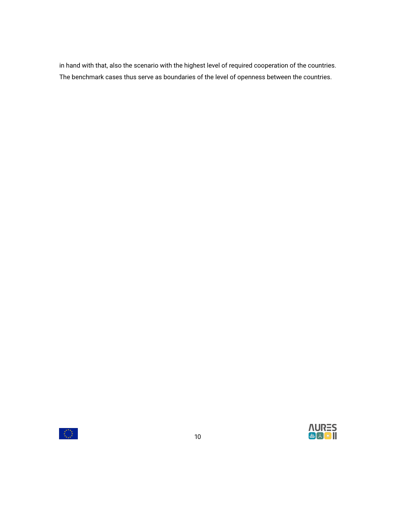in hand with that, also the scenario with the highest level of required cooperation of the countries. The benchmark cases thus serve as boundaries of the level of openness between the countries.



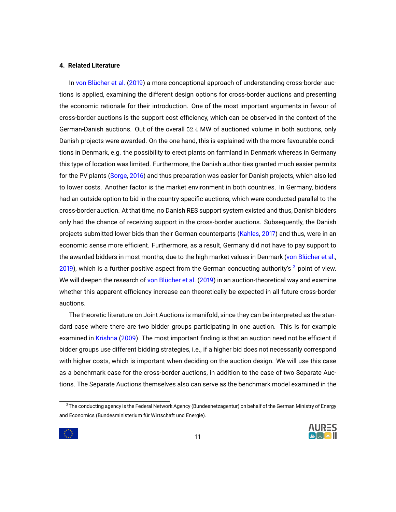# <span id="page-10-0"></span>**4. Related Literature**

In [von Blücher et al.](#page-35-0) [\(2019\)](#page-35-0) a more conceptional approach of understanding cross-border auctions is applied, examining the different design options for cross-border auctions and presenting the economic rationale for their introduction. One of the most important arguments in favour of cross-border auctions is the support cost efficiency, which can be observed in the context of the German-Danish auctions. Out of the overall 52.4 MW of auctioned volume in both auctions, only Danish projects were awarded. On the one hand, this is explained with the more favourable conditions in Denmark, e.g. the possibility to erect plants on farmland in Denmark whereas in Germany this type of location was limited. Furthermore, the Danish authorities granted much easier permits for the PV plants [\(Sorge,](#page-37-1) [2016\)](#page-37-1) and thus preparation was easier for Danish projects, which also led to lower costs. Another factor is the market environment in both countries. In Germany, bidders had an outside option to bid in the country-specific auctions, which were conducted parallel to the cross-border auction. At that time, no Danish RES support system existed and thus, Danish bidders only had the chance of receiving support in the cross-border auctions. Subsequently, the Danish projects submitted lower bids than their German counterparts [\(Kahles,](#page-36-0) [2017\)](#page-36-0) and thus, were in an economic sense more efficient. Furthermore, as a result, Germany did not have to pay support to the awarded bidders in most months, due to the high market values in Denmark [\(von Blücher et al.,](#page-35-0) [2019\)](#page-35-0), which is a further positive aspect from the German conducting authority's  $3$  point of view. We will deepen the research of [von Blücher et al.](#page-35-0) [\(2019\)](#page-35-0) in an auction-theoretical way and examine whether this apparent efficiency increase can theoretically be expected in all future cross-border auctions.

The theoretic literature on Joint Auctions is manifold, since they can be interpreted as the standard case where there are two bidder groups participating in one auction. This is for example examined in [Krishna](#page-36-1) [\(2009\)](#page-36-1). The most important finding is that an auction need not be efficient if bidder groups use different bidding strategies, i.e., if a higher bid does not necessarily correspond with higher costs, which is important when deciding on the auction design. We will use this case as a benchmark case for the cross-border auctions, in addition to the case of two Separate Auctions. The Separate Auctions themselves also can serve as the benchmark model examined in the

<span id="page-10-1"></span><sup>&</sup>lt;sup>3</sup>The conducting agency is the Federal Network Agency (Bundesnetzagentur) on behalf of the German Ministry of Energy and Economics (Bundesministerium für Wirtschaft und Energie).

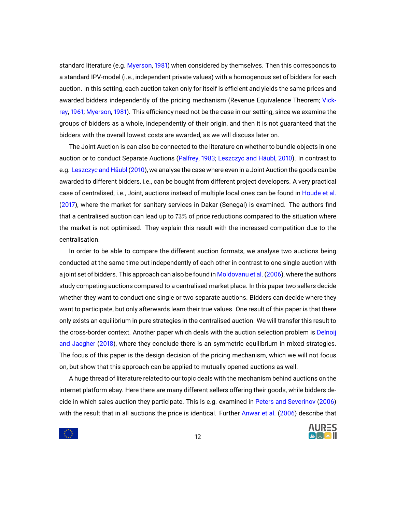standard literature (e.g. [Myerson,](#page-37-2) [1981\)](#page-37-2) when considered by themselves. Then this corresponds to a standard IPV-model (i.e., independent private values) with a homogenous set of bidders for each auction. In this setting, each auction taken only for itself is efficient and yields the same prices and awarded bidders independently of the pricing mechanism (Revenue Equivalence Theorem; [Vick](#page-38-0)[rey,](#page-38-0) [1961;](#page-38-0) [Myerson,](#page-37-2) [1981\)](#page-37-2). This efficiency need not be the case in our setting, since we examine the groups of bidders as a whole, independently of their origin, and then it is not guaranteed that the bidders with the overall lowest costs are awarded, as we will discuss later on.

The Joint Auction is can also be connected to the literature on whether to bundle objects in one auction or to conduct Separate Auctions [\(Palfrey,](#page-37-3) [1983;](#page-37-3) [Leszczyc and Häubl,](#page-37-4) [2010\)](#page-37-4). In contrast to e.g. [Leszczyc and Häubl\(2010\)](#page-37-4), we analyse the case where even in a Joint Auction the goods can be awarded to different bidders, i.e., can be bought from different project developers. A very practical case of centralised, i.e., Joint, auctions instead of multiple local ones can be found in [Houde et al.](#page-36-2) [\(2017\)](#page-36-2), where the market for sanitary services in Dakar (Senegal) is examined. The authors find that a centralised auction can lead up to  $73\%$  of price reductions compared to the situation where the market is not optimised. They explain this result with the increased competition due to the centralisation.

In order to be able to compare the different auction formats, we analyse two auctions being conducted at the same time but independently of each other in contrast to one single auction with a joint set of bidders. This approach can also be found in [Moldovanu et al.\(2006\)](#page-37-5), where the authors study competing auctions compared to a centralised market place. In this paper two sellers decide whether they want to conduct one single or two separate auctions. Bidders can decide where they want to participate, but only afterwards learn their true values. One result of this paper is that there only exists an equilibrium in pure strategies in the centralised auction. We will transfer this result to the cross-border context. Another paper which deals with the auction selection problem is [Delnoij](#page-35-3) [and Jaegher](#page-35-3) [\(2018\)](#page-35-3), where they conclude there is an symmetric equilibrium in mixed strategies. The focus of this paper is the design decision of the pricing mechanism, which we will not focus on, but show that this approach can be applied to mutually opened auctions as well.

A huge thread of literature related to our topic deals with the mechanism behind auctions on the internet platform ebay. Here there are many different sellers offering their goods, while bidders decide in which sales auction they participate. This is e.g. examined in [Peters and Severinov](#page-37-6) [\(2006\)](#page-37-6) with the result that in all auctions the price is identical. Further [Anwar et al.](#page-35-4) [\(2006\)](#page-35-4) describe that



 $\mathcal{L}(\mathcal{L})$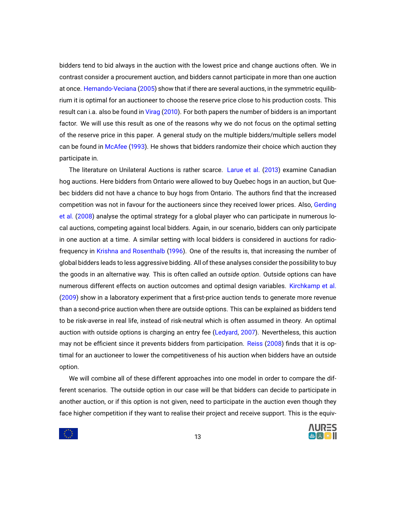bidders tend to bid always in the auction with the lowest price and change auctions often. We in contrast consider a procurement auction, and bidders cannot participate in more than one auction at once. [Hernando-Veciana](#page-36-3) [\(2005\)](#page-36-3) show that if there are several auctions, in the symmetric equilibrium it is optimal for an auctioneer to choose the reserve price close to his production costs. This result can i.a. also be found in [Virag](#page-38-1) [\(2010\)](#page-38-1). For both papers the number of bidders is an important factor. We will use this result as one of the reasons why we do not focus on the optimal setting of the reserve price in this paper. A general study on the multiple bidders/multiple sellers model can be found in [McAfee](#page-37-7) [\(1993\)](#page-37-7). He shows that bidders randomize their choice which auction they participate in.

The literature on Unilateral Auctions is rather scarce. [Larue et al.](#page-36-4) [\(2013\)](#page-36-4) examine Canadian hog auctions. Here bidders from Ontario were allowed to buy Quebec hogs in an auction, but Quebec bidders did not have a chance to buy hogs from Ontario. The authors find that the increased competition was not in favour for the auctioneers since they received lower prices. Also, [Gerding](#page-36-5) [et al.](#page-36-5) [\(2008\)](#page-36-5) analyse the optimal strategy for a global player who can participate in numerous local auctions, competing against local bidders. Again, in our scenario, bidders can only participate in one auction at a time. A similar setting with local bidders is considered in auctions for radiofrequency in [Krishna and Rosenthalb](#page-36-6) [\(1996\)](#page-36-6). One of the results is, that increasing the number of global bidders leads to less aggressive bidding. All of these analyses consider the possibility to buy the goods in an alternative way. This is often called an *outside option*. Outside options can have numerous different effects on auction outcomes and optimal design variables. [Kirchkamp et al.](#page-36-7) [\(2009\)](#page-36-7) show in a laboratory experiment that a first-price auction tends to generate more revenue than a second-price auction when there are outside options. This can be explained as bidders tend to be risk-averse in real life, instead of risk-neutral which is often assumed in theory. An optimal auction with outside options is charging an entry fee [\(Ledyard,](#page-37-8) [2007\)](#page-37-8). Nevertheless, this auction may not be efficient since it prevents bidders from participation. [Reiss](#page-37-9) [\(2008\)](#page-37-9) finds that it is optimal for an auctioneer to lower the competitiveness of his auction when bidders have an outside option.

We will combine all of these different approaches into one model in order to compare the different scenarios. The outside option in our case will be that bidders can decide to participate in another auction, or if this option is not given, need to participate in the auction even though they face higher competition if they want to realise their project and receive support. This is the equiv-

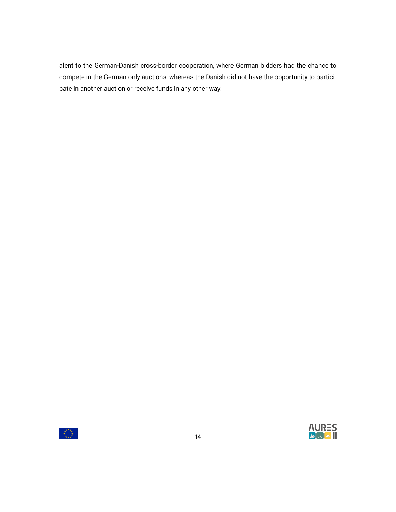alent to the German-Danish cross-border cooperation, where German bidders had the chance to compete in the German-only auctions, whereas the Danish did not have the opportunity to participate in another auction or receive funds in any other way.

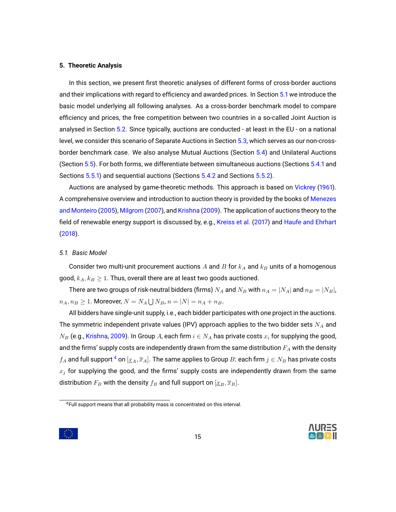#### <span id="page-14-0"></span>**5. Theoretic Analysis**

In this section, we present first theoretic analyses of different forms of cross-border auctions and their implications with regard to efficiency and awarded prices. In Section [5.1](#page-14-1) we introduce the basic model underlying all following analyses. As a cross-border benchmark model to compare efficiency and prices, the free competition between two countries in a so-called Joint Auction is analysed in Section [5.2.](#page-16-0) Since typically, auctions are conducted - at least in the EU - on a national level, we consider this scenario of Separate Auctions in Section [5.3,](#page-17-0) which serves as our non-crossborder benchmark case. We also analyse Mutual Auctions (Section [5.4\)](#page-18-0) and Unilateral Auctions (Section [5.5\)](#page-25-0). For both forms, we differentiate between simultaneous auctions (Sections [5.4.1](#page-19-0) and Sections [5.5.1\)](#page-26-0) and sequential auctions (Sections [5.4.2](#page-24-0) and Sections [5.5.2\)](#page-27-0).

Auctions are analysed by game-theoretic methods. This approach is based on [Vickrey](#page-38-0) [\(1961\)](#page-38-0). A comprehensive overview and introduction to auction theory is provided by the books of [Menezes](#page-37-10) [and Monteiro](#page-37-10) [\(2005\)](#page-37-10), [Milgrom](#page-37-11) [\(2007\)](#page-37-11), and [Krishna](#page-36-1) [\(2009\)](#page-36-1). The application of auctions theory to the field of renewable energy support is discussed by, e.g., [Kreiss et al.](#page-36-8) [\(2017\)](#page-36-8) and [Haufe and Ehrhart](#page-36-9) [\(2018\)](#page-36-9).

# <span id="page-14-1"></span>*5.1. Basic Model*

Consider two multi-unit procurement auctions  $A$  and  $B$  for  $k_A$  and  $k_B$  units of a homogenous good,  $k_A, k_B \geq 1$ . Thus, overall there are at least two goods auctioned.

There are two groups of risk-neutral bidders (firms)  $N_A$  and  $N_B$  with  $n_A = |N_A|$  and  $n_B = |N_B|$ ,  $n_A, n_B \geq 1$ . Moreover,  $N = N_A \bigcup N_B$ ,  $n = |N| = n_A + n_B$ .

All bidders have single-unit supply, i.e., each bidder participates with one project in the auctions. The symmetric independent private values (IPV) approach applies to the two bidder sets  $N_A$  and  $N_B$  (e.g., [Krishna,](#page-36-1) [2009\)](#page-36-1). In Group A, each firm  $i \in N_A$  has private costs  $x_i$  for supplying the good, and the firms' supply costs are independently drawn from the same distribution  $F_A$  with the density  $f_A$  and full support  $^4$  $^4$  on  $[\underline{x}_A, \overline{x}_A].$  The same applies to Group  $B$ : each firm  $j\in N_B$  has private costs  $x_j$  for supplying the good, and the firms' supply costs are independently drawn from the same distribution  $F_B$  with the density  $f_B$  and full support on  $[\underline{x}_B, \overline{x}_B].$ 



<span id="page-14-2"></span><sup>4</sup>Full support means that all probability mass is concentrated on this interval.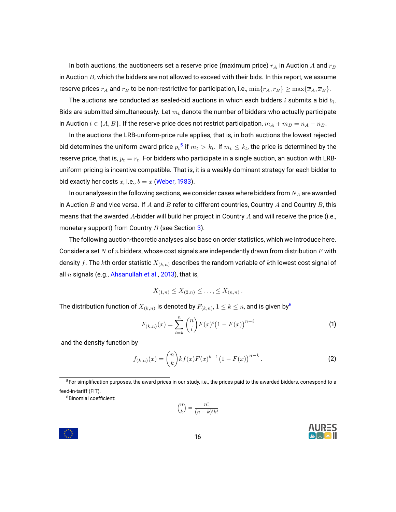In both auctions, the auctioneers set a reserve price (maximum price)  $r_A$  in Auction A and  $r_B$ in Auction  $B$ , which the bidders are not allowed to exceed with their bids. In this report, we assume reserve prices  $r_A$  and  $r_B$  to be non-restrictive for participation, i.e.,  $\min\{r_A, r_B\} \geq \max\{\overline{x}_A, \overline{x}_B\}.$ 

The auctions are conducted as sealed-bid auctions in which each bidders  $i$  submits a bid  $b_i.$ Bids are submitted simultaneously. Let  $m_t$  denote the number of bidders who actually participate in Auction  $t \in \{A, B\}$ . If the reserve price does not restrict participation,  $m_A + m_B = n_A + n_B$ .

In the auctions the LRB-uniform-price rule applies, that is, in both auctions the lowest rejected bid determines the uniform award price  ${p_t}^5$  ${p_t}^5$  if  $m_t > k_t.$  If  $m_t \leq k_t$ , the price is determined by the reserve price, that is,  $p_t = r_t$ . For bidders who participate in a single auction, an auction with LRBuniform-pricing is incentive compatible. That is, it is a weakly dominant strategy for each bidder to bid exactly her costs x, i.e.,  $b = x$  [\(Weber,](#page-38-2) [1983\)](#page-38-2).

In our analyses in the following sections, we consider cases where bidders from  $N_A$  are awarded in Auction  $B$  and vice versa. If  $A$  and  $B$  refer to different countries, Country  $A$  and Country  $B$ , this means that the awarded A-bidder will build her project in Country A and will receive the price (i.e., monetary support) from Country  $B$  (see Section [3\)](#page-6-0).

The following auction-theoretic analyses also base on order statistics, which we introduce here. Consider a set N of n bidders, whose cost signals are independently drawn from distribution F with density f. The kth order statistic  $X_{(k,n)}$  describes the random variable of kth lowest cost signal of all  $n$  signals (e.g., [Ahsanullah et al.,](#page-35-5) [2013\)](#page-35-5), that is,

$$
X_{(1,n)} \leq X_{(2,n)} \leq \ldots, \leq X_{(n,n)}.
$$

The distribution function of  $X_{(k,n)}$  is denoted by  $F_{(k,n)}$ ,  $1\leq k\leq n$ , and is given by $^6$  $^6$ 

$$
F_{(k,n)}(x) = \sum_{i=k}^{n} {n \choose i} F(x)^{i} (1 - F(x))^{n-i}
$$
 (1)

and the density function by

$$
f_{(k,n)}(x) = \binom{n}{k} kf(x)F(x)^{k-1}(1 - F(x))^{n-k}.
$$
 (2)

<span id="page-15-0"></span><sup>5</sup>For simplification purposes, the award prices in our study, i.e., the prices paid to the awarded bidders, correspond to a feed-in-tariff (FIT).

<span id="page-15-1"></span><sup>6</sup>Binomial coefficient:

$$
\displaystyle {n \choose k} = \frac{n!}{(n-k)!k!}
$$



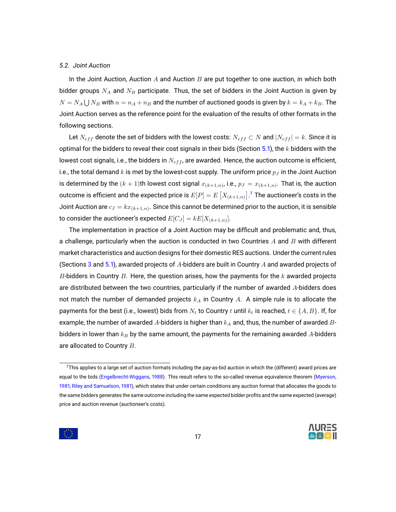# <span id="page-16-0"></span>*5.2. Joint Auction*

In the Joint Auction, Auction  $A$  and Auction  $B$  are put together to one auction, in which both bidder groups  $N_A$  and  $N_B$  participate. Thus, the set of bidders in the Joint Auction is given by  $N=N_A\bigcup N_B$  with  $n=n_A+n_B$  and the number of auctioned goods is given by  $k=k_A+k_B.$  The Joint Auction serves as the reference point for the evaluation of the results of other formats in the following sections.

Let  $N_{eff}$  denote the set of bidders with the lowest costs:  $N_{eff} \subset N$  and  $|N_{eff}| = k$ . Since it is optimal for the bidders to reveal their cost signals in their bids (Section [5.1\)](#page-14-1), the  $k$  bidders with the lowest cost signals, i.e., the bidders in  $N_{eff}$ , are awarded. Hence, the auction outcome is efficient, i.e., the total demand k is met by the lowest-cost supply. The uniform price  $p<sub>J</sub>$  in the Joint Auction is determined by the  $(k+1)$ th lowest cost signal  $x_{(k+1,n)}$ , i.e.,  $p_J = x_{(k+1,n)}.$  That is, the auction outcome is efficient and the expected price is  $E[P]=E\left[X_{(k+1,n)}\right]$  .<sup>[7](#page-16-1)</sup> The auctioneer's costs in the Joint Auction are  $c_J=kx_{(k+1,n)}.$  Since this cannot be determined prior to the auction, it is sensible to consider the auctioneer's expected  $E[C_J]=kE[X_{(k+1,n)}].$ 

The implementation in practice of a Joint Auction may be difficult and problematic and, thus, a challenge, particularly when the auction is conducted in two Countries  $A$  and  $B$  with different market characteristics and auction designs for their domestic RES auctions. Under the current rules (Sections [3](#page-6-0) and [5.1\)](#page-14-1), awarded projects of A-bidders are built in Country A and awarded projects of B-bidders in Country B. Here, the question arises, how the payments for the  $k$  awarded projects are distributed between the two countries, particularly if the number of awarded  $A$ -bidders does not match the number of demanded projects  $k_A$  in Country A. A simple rule is to allocate the payments for the best (i.e., lowest) bids from  $N_t$  to Country t until  $k_t$  is reached,  $t \in \{A, B\}$ . If, for example, the number of awarded A-bidders is higher than  $k_A$  and, thus, the number of awarded Bbidders in lower than  $k_B$  by the same amount, the payments for the remaining awarded A-bidders are allocated to Country B.

<span id="page-16-1"></span> $7$ This applies to a large set of auction formats including the pay-as-bid auction in which the (different) award prices are equal to the bids [\(Engelbrecht-Wiggans,](#page-35-6) [1988\)](#page-35-6). This result refers to the so-called revenue equivalence theorem [\(Myerson,](#page-37-2) [1981;](#page-37-2) [Riley and Samuelson,](#page-37-12) [1981\)](#page-37-12), which states that under certain conditions any auction format that allocates the goods to the same bidders generates the same outcome including the same expected bidder profits and the same expected (average) price and auction revenue (auctioneer's costs).

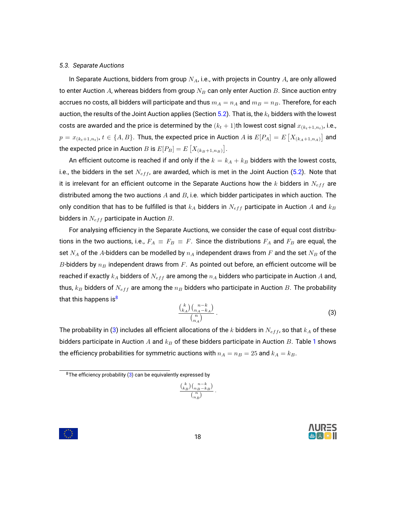#### <span id="page-17-0"></span>*5.3. Separate Auctions*

In Separate Auctions, bidders from group  $N_A$ , i.e., with projects in Country A, are only allowed to enter Auction A, whereas bidders from group  $N_B$  can only enter Auction B. Since auction entry accrues no costs, all bidders will participate and thus  $m_A = n_A$  and  $m_B = n_B$ . Therefore, for each auction, the results of the Joint Auction applies (Section [5.2\)](#page-16-0). That is, the  $k_t$  bidders with the lowest costs are awarded and the price is determined by the  $(k_t+1)$ th lowest cost signal  $x_{(k_t+1,n_t)}$ , i.e.,  $p=x_{(k_t+1,n_t)},\,t\in\{A,B\}.$  Thus, the expected price in Auction  $A$  is  $E[P_A]=E\left[X_{(k_A+1,n_A)}\right]$  and the expected price in Auction  $B$  is  $E[P_B]=E\left[X_{(k_B+1,n_B)}\right]$ .

An efficient outcome is reached if and only if the  $k = k_A + k_B$  bidders with the lowest costs, i.e., the bidders in the set  $N_{eff}$ , are awarded, which is met in the Joint Auction [\(5.2\)](#page-16-0). Note that it is irrelevant for an efficient outcome in the Separate Auctions how the k bidders in  $N_{eff}$  are distributed among the two auctions  $A$  and  $B$ , i.e. which bidder participates in which auction. The only condition that has to be fulfilled is that  $k_A$  bidders in  $N_{eff}$  participate in Auction A and  $k_B$ bidders in  $N_{eff}$  participate in Auction  $B$ .

For analysing efficiency in the Separate Auctions, we consider the case of equal cost distributions in the two auctions, i.e.,  $F_A \equiv F_B \equiv F$ . Since the distributions  $F_A$  and  $F_B$  are equal, the set  $N_A$  of the A-bidders can be modelled by  $n_A$  independent draws from F and the set  $N_B$  of the B-bidders by  $n_B$  independent draws from F. As pointed out before, an efficient outcome will be reached if exactly  $k_A$  bidders of  $N_{eff}$  are among the  $n_A$  bidders who participate in Auction  $A$  and, thus,  $k_B$  bidders of  $N_{eff}$  are among the  $n_B$  bidders who participate in Auction B. The probability that this happens is $<sup>8</sup>$  $<sup>8</sup>$  $<sup>8</sup>$ </sup>

<span id="page-17-2"></span>
$$
\frac{\binom{k}{k_A}\binom{n-k}{n_A-k_A}}{\binom{n}{n_A}}.
$$
\n(3)

The probability in [\(3\)](#page-17-2) includes all efficient allocations of the k bidders in  $N_{eff}$ , so that  $k_A$  of these bidders participate in Auction A and  $k_B$  of these bidders participate in Auction B. Table [1](#page-18-1) shows the efficiency probabilities for symmetric auctions with  $n_A = n_B = 25$  and  $k_A = k_B$ .

$$
\frac{{k \choose k_B} {n-k \choose n_B-k_B}}{{n \choose n_B}} \, .
$$





<span id="page-17-1"></span><sup>&</sup>lt;sup>8</sup>The efficiency probability  $(3)$  can be equivalently expressed by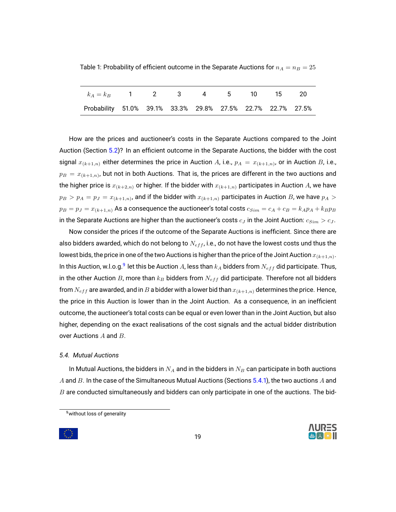<span id="page-18-1"></span>Table 1: Probability of efficient outcome in the Separate Auctions for  $n_A = n_B = 25$ 

| $k_A = k_B$ 1 2 3 4 5 10 15 20                              |  |  |  |  |
|-------------------------------------------------------------|--|--|--|--|
| Probability 51.0% 39.1% 33.3% 29.8% 27.5% 22.7% 22.7% 27.5% |  |  |  |  |

How are the prices and auctioneer's costs in the Separate Auctions compared to the Joint Auction (Section [5.2\)](#page-16-0)? In an efficient outcome in the Separate Auctions, the bidder with the cost signal  $x_{(k+1,n)}$  either determines the price in Auction  $A$ , i.e.,  $p_A = x_{(k+1,n)}$ , or in Auction  $B$ , i.e.,  $p_B$   $=$   $x_{(k+1,n)}$ , but not in both Auctions. That is, the prices are different in the two auctions and the higher price is  $x_{(k+2,n)}$  or higher. If the bidder with  $x_{(k+1,n)}$  participates in Auction A, we have  $p_B>p_A=p_J=x_{(k+1,n)}$ , and if the bidder with  $x_{(k+1,n)}$  participates in Auction  $B$ , we have  $p_A>0$  $p_B = p_J = x_{(k+1,n)}$  As a consequence the auctioneer's total costs  $c_{Sim} = c_A + c_B = k_A p_A + k_B p_B$ in the Separate Auctions are higher than the auctioneer's costs  $c_J$  in the Joint Auction:  $c_{Sim} > c_J$ .

Now consider the prices if the outcome of the Separate Auctions is inefficient. Since there are also bidders awarded, which do not belong to  $N_{eff}$ , i.e., do not have the lowest costs und thus the lowest bids, the price in one of the two Auctions is higher than the price of the Joint Auction  $x_{(k+1,n)}.$ In this Auction, w.l.o.g. $^9$  $^9$  let this be Auction  $A$ , less than  $k_A$  bidders from  $N_{eff}$  did participate. Thus, in the other Auction B, more than  $k_B$  bidders from  $N_{eff}$  did participate. Therefore not all bidders from  $N_{eff}$  are awarded, and in B a bidder with a lower bid than  $x_{(k+1,n)}$  determines the price. Hence, the price in this Auction is lower than in the Joint Auction. As a consequence, in an inefficient outcome, the auctioneer's total costs can be equal or even lower than in the Joint Auction, but also higher, depending on the exact realisations of the cost signals and the actual bidder distribution over Auctions A and B.

# <span id="page-18-0"></span>*5.4. Mutual Auctions*

In Mutual Auctions, the bidders in  $N_A$  and in the bidders in  $N_B$  can participate in both auctions A and B. In the case of the Simultaneous Mutual Auctions (Sections [5.4.1\)](#page-19-0), the two auctions A and  $B$  are conducted simultaneously and bidders can only participate in one of the auctions. The bid-

19



<span id="page-18-2"></span><sup>&</sup>lt;sup>9</sup> without loss of generality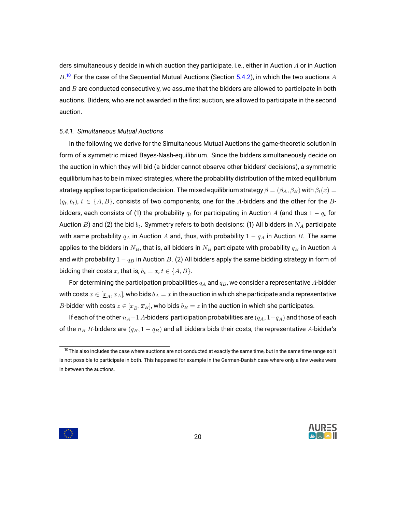ders simultaneously decide in which auction they participate, i.e., either in Auction A or in Auction  $B^{10}$  $B^{10}$  $B^{10}$  For the case of the Sequential Mutual Auctions (Section [5.4.2\)](#page-24-0), in which the two auctions  $A$ and  $B$  are conducted consecutively, we assume that the bidders are allowed to participate in both auctions. Bidders, who are not awarded in the first auction, are allowed to participate in the second auction.

#### <span id="page-19-0"></span>*5.4.1. Simultaneous Mutual Auctions*

In the following we derive for the Simultaneous Mutual Auctions the game-theoretic solution in form of a symmetric mixed Bayes-Nash-equilibrium. Since the bidders simultaneously decide on the auction in which they will bid (a bidder cannot observe other bidders' decisions), a symmetric equilibrium has to be in mixed strategies, where the probability distribution of the mixed equilibrium strategy applies to participation decision. The mixed equilibrium strategy  $\beta = (\beta_A, \beta_B)$  with  $\beta_t(x) =$  $(q_t, b_t)$ ,  $t \in \{A, B\}$ , consists of two components, one for the A-bidders and the other for the Bbidders, each consists of (1) the probability  $q_t$  for participating in Auction A (and thus  $1 - q_t$  for Auction B) and (2) the bid  $b_t$ . Symmetry refers to both decisions: (1) All bidders in  $N_A$  participate with same probability  $q_A$  in Auction A and, thus, with probability  $1 - q_A$  in Auction B. The same applies to the bidders in  $N_B$ , that is, all bidders in  $N_B$  participate with probability  $q_B$  in Auction A and with probability  $1 - q_B$  in Auction B. (2) All bidders apply the same bidding strategy in form of bidding their costs x, that is,  $b_t = x$ ,  $t \in \{A, B\}$ .

For determining the participation probabilities  $q_A$  and  $q_B$ , we consider a representative A-bidder with costs  $x \in [\underline{x}_A, \overline{x}_A]$ , who bids  $b_A = x$  in the auction in which she participate and a representative B-bidder with costs  $z \in [\underline{x}_B, \overline{x}_B]$ , who bids  $b_B = z$  in the auction in which she participates.

If each of the other  $n_A-1$  A-bidders' participation probabilities are  $(q_A, 1-q_A)$  and those of each of the  $n_B$  B-bidders are  $(q_B, 1 - q_B)$  and all bidders bids their costs, the representative A-bidder's





<span id="page-19-1"></span> $10$ This also includes the case where auctions are not conducted at exactly the same time, but in the same time range so it is not possible to participate in both. This happened for example in the German-Danish case where only a few weeks were in between the auctions.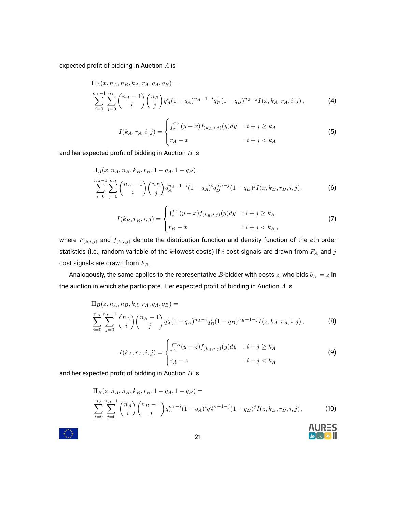expected profit of bidding in Auction A is

$$
\Pi_{A}(x, n_A, n_B, k_A, r_A, q_A, q_B) =
$$
\n
$$
\sum_{i=0}^{n_A-1} \sum_{j=0}^{n_B} {n_A-1 \choose i} {n_B \choose j} q_A^i (1-q_A)^{n_A-1-i} q_B^j (1-q_B)^{n_B-j} I(x, k_A, r_A, i, j),
$$
\n(4)

<span id="page-20-4"></span><span id="page-20-0"></span>
$$
I(k_A, r_A, i, j) = \begin{cases} \int_x^{r_A} (y - x) f_{(k_A, i, j)}(y) dy & : i + j \ge k_A \\ r_A - x & : i + j < k_A \end{cases}
$$
\n(5)

and her expected profit of bidding in Auction  $B$  is

$$
\Pi_{A}(x, n_{A}, n_{B}, k_{B}, r_{B}, 1 - q_{A}, 1 - q_{B}) =
$$
\n
$$
\sum_{i=0}^{n_{A}-1} \sum_{j=0}^{n_{B}} \binom{n_{A}-1}{i} \binom{n_{B}}{j} q_{A}^{n_{A}-1-i} (1 - q_{A})^{i} q_{B}^{n_{B}-j} (1 - q_{B})^{j} I(x, k_{B}, r_{B}, i, j),
$$
\n(6)

<span id="page-20-6"></span><span id="page-20-1"></span>
$$
I(k_B, r_B, i, j) = \begin{cases} \int_x^{r_B} (y - x) f_{(k_B, i, j)}(y) dy & : i + j \ge k_B \\ r_B - x & : i + j < k_B, \end{cases}
$$
 (7)

where  $F_{(k,i,j)}$  and  $f_{(k,i,j)}$  denote the distribution function and density function of the kth order statistics (i.e., random variable of the k-lowest costs) if  $i$  cost signals are drawn from  $F_A$  and  $j$ cost signals are drawn from  $F_B$ .

Analogously, the same applies to the representative B-bidder with costs  $z$ , who bids  $b_B = z$  in the auction in which she participate. Her expected profit of bidding in Auction  $A$  is

$$
\Pi_B(z, n_A, n_B, k_A, r_A, q_A, q_B) =
$$
\n
$$
\sum_{i=0}^{n_A} \sum_{j=0}^{n_B-1} {n_A \choose i} {n_B-1 \choose j} q_A^i (1-q_A)^{n_A-i} q_B^j (1-q_B)^{n_B-1-j} I(z, k_A, r_A, i, j),
$$
\n(8)

<span id="page-20-5"></span>
$$
I(k_A, r_A, i, j) = \begin{cases} \int_z^{r_A} (y - z) f_{(k_A, i, j)}(y) dy & : i + j \ge k_A \\ r_A - z & : i + j < k_A \end{cases}
$$
\n(9)

<span id="page-20-3"></span><span id="page-20-2"></span>**AURES** 

and her expected profit of bidding in Auction  $B$  is

$$
\Pi_B(z, n_A, n_B, k_B, r_B, 1 - q_A, 1 - q_B) =
$$
\n
$$
\sum_{i=0}^{n_A} \sum_{j=0}^{n_B-1} \binom{n_A}{i} \binom{n_B-1}{j} q_A^{n_A-i} (1 - q_A)^i q_B^{n_B-1-j} (1 - q_B)^j I(z, k_B, r_B, i, j),
$$
\n(10)

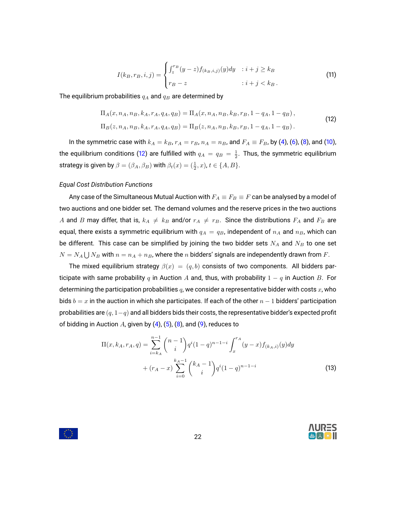<span id="page-21-1"></span><span id="page-21-0"></span>
$$
I(k_B, r_B, i, j) = \begin{cases} \int_z^{r_B} (y - z) f_{(k_B, i, j)}(y) dy & : i + j \ge k_B \\ r_B - z & : i + j < k_B. \end{cases} \tag{11}
$$

The equilibrium probabilities  $q_A$  and  $q_B$  are determined by

$$
\Pi_A(x, n_A, n_B, k_A, r_A, q_A, q_B) = \Pi_A(x, n_A, n_B, k_B, r_B, 1 - q_A, 1 - q_B),
$$
  
\n
$$
\Pi_B(z, n_A, n_B, k_A, r_A, q_A, q_B) = \Pi_B(z, n_A, n_B, k_B, r_B, 1 - q_A, 1 - q_B).
$$
\n(12)

In the symmetric case with  $k_A = k_B$ ,  $r_A = r_B$ ,  $n_A = n_B$ , and  $F_A \equiv F_B$ , by [\(4\)](#page-20-0), [\(6\)](#page-20-1), [\(8\)](#page-20-2), and [\(10\)](#page-20-3), the equilibrium conditions [\(12\)](#page-21-0) are fulfilled with  $q_A\,=\,q_B\,=\,\frac{1}{2}.$  Thus, the symmetric equilibrium strategy is given by  $\beta = (\beta_A, \beta_B)$  with  $\beta_t(x) = (\frac{1}{2}, x)$ ,  $t \in \{A, B\}$ .

# *Equal Cost Distribution Functions*

Any case of the Simultaneous Mutual Auction with  $F_A \equiv F_B \equiv F$  can be analysed by a model of two auctions and one bidder set. The demand volumes and the reserve prices in the two auctions A and B may differ, that is,  $k_A \neq k_B$  and/or  $r_A \neq r_B$ . Since the distributions  $F_A$  and  $F_B$  are equal, there exists a symmetric equilibrium with  $q_A = q_B$ , independent of  $n_A$  and  $n_B$ , which can be different. This case can be simplified by joining the two bidder sets  $N_A$  and  $N_B$  to one set  $N=N_A\bigcup N_B$  with  $n=n_A+n_B$ , where the  $n$  bidders' signals are independently drawn from  $F.$ 

The mixed equilibrium strategy  $\beta(x) = (q, b)$  consists of two components. All bidders participate with same probability q in Auction A and, thus, with probability  $1 - q$  in Auction B. For determining the participation probabilities  $q$ , we consider a representative bidder with costs  $x$ , who bids  $b = x$  in the auction in which she participates. If each of the other  $n - 1$  bidders' participation probabilities are  $(q, 1-q)$  and all bidders bids their costs, the representative bidder's expected profit of bidding in Auction A, given by  $(4)$ ,  $(5)$ ,  $(8)$ , and  $(9)$ , reduces to

$$
\Pi(x, k_A, r_A, q) = \sum_{i=k_A}^{n-1} {n-1 \choose i} q^i (1-q)^{n-1-i} \int_x^{r_A} (y-x) f_{(k_A, i)}(y) dy
$$
  
+ 
$$
(r_A - x) \sum_{i=0}^{k_A - 1} {k_A - 1 \choose i} q^i (1-q)^{n-1-i}
$$
 (13)

<span id="page-21-2"></span>

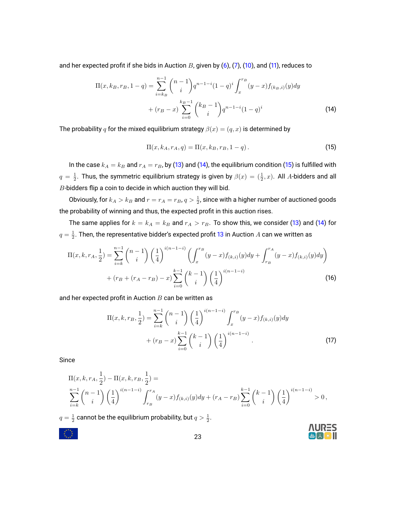and her expected profit if she bids in Auction  $B$ , given by [\(6\)](#page-20-1), [\(7\)](#page-20-6), [\(10\)](#page-20-3), and [\(11\)](#page-21-1), reduces to

$$
\Pi(x, k_B, r_B, 1 - q) = \sum_{i=k_B}^{n-1} {n-1 \choose i} q^{n-1-i} (1-q)^i \int_x^{r_B} (y-x) f_{(k_B, i)}(y) dy
$$

$$
+ (r_B - x) \sum_{i=0}^{k_B - 1} {k_B - 1 \choose i} q^{n-1-i} (1-q)^i
$$
(14)

The probability q for the mixed equilibrium strategy  $\beta(x) = (q, x)$  is determined by

<span id="page-22-1"></span><span id="page-22-0"></span>
$$
\Pi(x, k_A, r_A, q) = \Pi(x, k_B, r_B, 1 - q).
$$
\n(15)

In the case  $k_A = k_B$  and  $r_A = r_B$ , by [\(13\)](#page-21-2) and [\(14\)](#page-22-0), the equilibrium condition [\(15\)](#page-22-1) is fulfilled with  $q=\frac{1}{2}.$  Thus, the symmetric equilibrium strategy is given by  $\beta(x)=(\frac{1}{2},x).$  All  $A$ -bidders and all  $B$ -bidders flip a coin to decide in which auction they will bid.

Obviously, for  $k_A>k_B$  and  $r=r_A=r_B$ ,  $q>\frac{1}{2}$ , since with a higher number of auctioned goods the probability of winning and thus, the expected profit in this auction rises.

The same applies for  $k = k_A = k_B$  and  $r_A > r_B$ . To show this, we consider [\(13\)](#page-21-2) and [\(14\)](#page-22-0) for  $q=\frac{1}{2}.$  Then, the representative bidder's expected profit [13](#page-21-2) in Auction  $A$  can we written as

$$
\Pi(x, k, r_A, \frac{1}{2}) = \sum_{i=k}^{n-1} {n-1 \choose i} \left(\frac{1}{4}\right)^{i(n-1-i)} \left(\int_x^{r_B} (y-x) f_{(k,i)}(y) dy + \int_{r_B}^{r_A} (y-x) f_{(k,i)}(y) dy\right) + (r_B + (r_A - r_B) - x) \sum_{i=0}^{k-1} {k-1 \choose i} \left(\frac{1}{4}\right)^{i(n-1-i)}
$$
\n(16)

and her expected profit in Auction  $B$  can be written as

$$
\Pi(x, k, r_B, \frac{1}{2}) = \sum_{i=k}^{n-1} {n-1 \choose i} \left(\frac{1}{4}\right)^{i(n-1-i)} \int_x^{r_B} (y-x) f_{(k,i)}(y) dy
$$
  
+  $(r_B - x) \sum_{i=0}^{k-1} {k-1 \choose i} \left(\frac{1}{4}\right)^{i(n-1-i)}.$  (17)

Since

$$
\Pi(x, k, r_A, \frac{1}{2}) - \Pi(x, k, r_B, \frac{1}{2}) =
$$
\n
$$
\sum_{i=k}^{n-1} {n-1 \choose i} \left(\frac{1}{4}\right)^{i(n-1-i)} \int_{r_B}^{r_A} (y-x) f_{(k,i)}(y) dy + (r_A - r_B) \sum_{i=0}^{k-1} {k-1 \choose i} \left(\frac{1}{4}\right)^{i(n-1-i)} > 0,
$$

 $q=\frac{1}{2}$  cannot be the equilibrium probability, but  $q>\frac{1}{2}.$ 



 $\mathbb{R}^{2n}$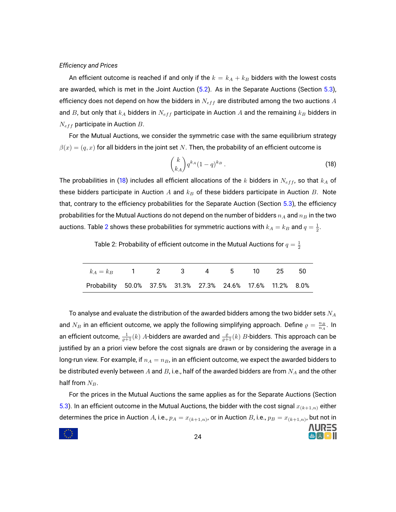#### *Efficiency and Prices*

An efficient outcome is reached if and only if the  $k = k_A + k_B$  bidders with the lowest costs are awarded, which is met in the Joint Auction [\(5.2\)](#page-16-0). As in the Separate Auctions (Section [5.3\)](#page-17-0), efficiency does not depend on how the bidders in  $N_{eff}$  are distributed among the two auctions A and B, but only that  $k_A$  bidders in  $N_{eff}$  participate in Auction A and the remaining  $k_B$  bidders in  $N_{eff}$  participate in Auction B.

For the Mutual Auctions, we consider the symmetric case with the same equilibrium strategy  $\beta(x) = (q, x)$  for all bidders in the joint set N. Then, the probability of an efficient outcome is

<span id="page-23-0"></span>
$$
\binom{k}{k_A} q^{k_A} (1-q)^{k_B} \,. \tag{18}
$$

**NURES** 

The probabilities in [\(18\)](#page-23-0) includes all efficient allocations of the k bidders in  $N_{eff}$ , so that  $k_A$  of these bidders participate in Auction A and  $k_B$  of these bidders participate in Auction B. Note that, contrary to the efficiency probabilities for the Separate Auction (Section [5.3\)](#page-17-0), the efficiency probabilities for the Mutual Auctions do not depend on the number of bidders  $n_A$  and  $n_B$  in the two auctions. Table [2](#page-23-1) shows these probabilities for symmetric auctions with  $k_A = k_B$  and  $q = \frac{1}{2}.$ 

<span id="page-23-1"></span>Table 2: Probability of efficient outcome in the Mutual Auctions for  $q=\frac{1}{2}$ 

| $k_A = k_B$ 1 2 3 4 5 10 25 50                             |  |  |  |  |
|------------------------------------------------------------|--|--|--|--|
| Probability 50.0% 37.5% 31.3% 27.3% 24.6% 17.6% 11.2% 8.0% |  |  |  |  |

To analyse and evaluate the distribution of the awarded bidders among the two bidder sets  $N_A$ and  $N_B$  in an efficient outcome, we apply the following simplifying approach. Define  $\varrho = \frac{n_B}{n_A}$ . In an efficient outcome,  $\frac{1}{\varrho+1}(k)$   $A$ -bidders are awarded and  $\frac{\varrho}{\varrho+1}(k)$   $B$ -bidders. This approach can be justified by an a priori view before the cost signals are drawn or by considering the average in a long-run view. For example, if  $n_A = n_B$ , in an efficient outcome, we expect the awarded bidders to be distributed evenly between A and B, i.e., half of the awarded bidders are from  $N_A$  and the other half from  $N_B$ .

For the prices in the Mutual Auctions the same applies as for the Separate Auctions (Section [5.3\)](#page-17-0). In an efficient outcome in the Mutual Auctions, the bidder with the cost signal  $x_{(k+1,n)}$  either determines the price in Auction  $A$ , i.e.,  $p_A = x_{(k+1,n)}$ , or in Auction  $B$ , i.e.,  $p_B = x_{(k+1,n)}$ , but not in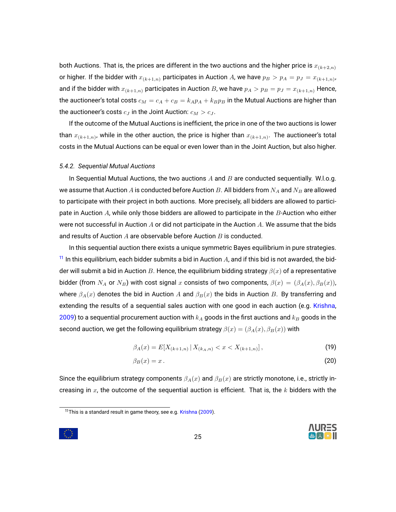both Auctions. That is, the prices are different in the two auctions and the higher price is  $x_{(k+2,n)}$ or higher. If the bidder with  $x_{(k+1,n)}$  participates in Auction A, we have  $p_B > p_A = p_J = x_{(k+1,n)}$ , and if the bidder with  $x_{(k+1,n)}$  participates in Auction B, we have  $p_A > p_B = p_J = x_{(k+1,n)}$  Hence, the auctioneer's total costs  $c_M = c_A + c_B = k_A p_A + k_B p_B$  in the Mutual Auctions are higher than the auctioneer's costs  $c_J$  in the Joint Auction:  $c_M > c_J$ .

If the outcome of the Mutual Auctions is inefficient, the price in one of the two auctions is lower than  $x_{(k+1,n)}$ , while in the other auction, the price is higher than  $x_{(k+1,n)}.$  The auctioneer's total costs in the Mutual Auctions can be equal or even lower than in the Joint Auction, but also higher.

#### <span id="page-24-0"></span>*5.4.2. Sequential Mutual Auctions*

In Sequential Mutual Auctions, the two auctions  $A$  and  $B$  are conducted sequentially. W.l.o.g. we assume that Auction A is conducted before Auction B. All bidders from  $N_A$  and  $N_B$  are allowed to participate with their project in both auctions. More precisely, all bidders are allowed to participate in Auction  $A$ , while only those bidders are allowed to participate in the  $B$ -Auction who either were not successful in Auction  $A$  or did not participate in the Auction  $A$ . We assume that the bids and results of Auction  $A$  are observable before Auction  $B$  is conducted.

In this sequential auction there exists a unique symmetric Bayes equilibrium in pure strategies.  $11$  In this equilibrium, each bidder submits a bid in Auction A, and if this bid is not awarded, the bidder will submit a bid in Auction B. Hence, the equilibrium bidding strategy  $\beta(x)$  of a representative bidder (from  $N_A$  or  $N_B$ ) with cost signal x consists of two components,  $\beta(x) = (\beta_A(x), \beta_B(x))$ , where  $\beta_A(x)$  denotes the bid in Auction  $A$  and  $\beta_B(x)$  the bids in Auction  $B$ . By transferring and extending the results of a sequential sales auction with one good in each auction (e.g. [Krishna,](#page-36-1) [2009\)](#page-36-1) to a sequential procurement auction with  $k_A$  goods in the first auctions and  $k_B$  goods in the second auction, we get the following equilibrium strategy  $\beta(x) = (\beta_A(x), \beta_B(x))$  with

$$
\beta_A(x) = E[X_{(k+1,n)} \,|\, X_{(k_A,n)} < x < X_{(k+1,n)}],\tag{19}
$$

$$
\beta_B(x) = x \,. \tag{20}
$$

Since the equilibrium strategy components  $\beta_A(x)$  and  $\beta_B(x)$  are strictly monotone, i.e., strictly increasing in  $x$ , the outcome of the sequential auction is efficient. That is, the  $k$  bidders with the

<span id="page-24-3"></span><span id="page-24-2"></span>



<span id="page-24-1"></span><sup>11</sup>This is a standard result in game theory, see e.g. [Krishna](#page-36-1) [\(2009\)](#page-36-1).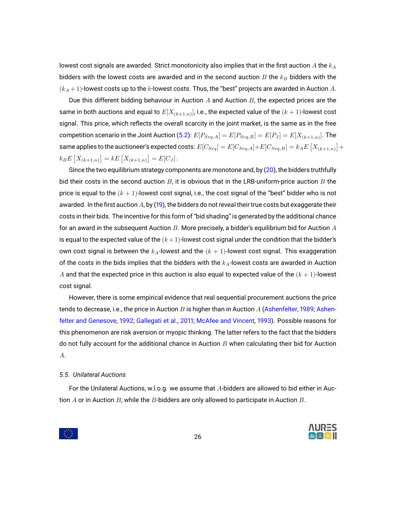lowest cost signals are awarded. Strict monotonicity also implies that in the first auction  $A$  the  $k_A$ bidders with the lowest costs are awarded and in the second auction  $B$  the  $k_B$  bidders with the  $(k_A + 1)$ -lowest costs up to the k-lowest costs. Thus, the "best" projects are awarded in Auction A.

Due this different bidding behaviour in Auction  $A$  and Auction  $B$ , the expected prices are the same in both auctions and equal to  $E[X_{(k+1,n)}]$ , i.e., the expected value of the  $(k+1)$ -lowest cost signal. This price, which reflects the overall scarcity in the joint market, is the same as in the free competition scenario in the Joint Auction [\(5.2\)](#page-16-0):  $E[P_{Seq,A}] = E[P_{Seq,B}] = E[P_J] = E[X_{(k+1,n)}].$  The same applies to the auctioneer's expected costs:  $E[C_{Seq}] = E[C_{Seq,A}] \!+\! E[C_{Seq,B}] = k_A E\left[X_{(k+1,n)}\right] \!+\!$  $k_B E\left[X_{(k+1,n)}\right] = k E\left[X_{(k+1,n)}\right] = E[C_J].$ 

Since the two equilibrium strategy components are monotone and, by [\(20\)](#page-24-2), the bidders truthfully bid their costs in the second auction  $B$ , it is obvious that in the LRB-uniform-price auction  $B$  the price is equal to the  $(k + 1)$ -lowest cost signal, i.e., the cost signal of the "best" bidder who is not awarded. In the first auction A, by [\(19\)](#page-24-3), the bidders do not reveal their true costs but exaggerate their costs in their bids. The incentive for this form of "bid shading" is generated by the additional chance for an award in the subsequent Auction B. More precisely, a bidder's equilibrium bid for Auction  $A$ is equal to the expected value of the  $(k+1)$ -lowest cost signal under the condition that the bidder's own cost signal is between the  $k_A$ -lowest and the  $(k + 1)$ -lowest cost signal. This exaggeration of the costs in the bids implies that the bidders with the  $k_A$ -lowest costs are awarded in Auction A and that the expected price in this auction is also equal to expected value of the  $(k + 1)$ -lowest cost signal.

However, there is some empirical evidence that real sequential procurement auctions the price tends to decrease, i.e., the price in Auction B is higher than in Auction A [\(Ashenfelter,](#page-35-7) [1989;](#page-35-7) [Ashen](#page-35-8)[felter and Genesove,](#page-35-8) [1992;](#page-35-8) [Gallegati et al.,](#page-35-9) [2011;](#page-35-9) [McAfee and Vincent,](#page-37-13) [1993\)](#page-37-13). Possible reasons for this phenomenon are risk aversion or myopic thinking. The latter refers to the fact that the bidders do not fully account for the additional chance in Auction  $B$  when calculating their bid for Auction A.

#### <span id="page-25-0"></span>*5.5. Unilateral Auctions*

 $\frac{1}{2}$ 

For the Unilateral Auctions, w.l.o.g. we assume that A-bidders are allowed to bid either in Auction  $A$  or in Auction  $B$ , while the  $B$ -bidders are only allowed to participate in Auction  $B$ .

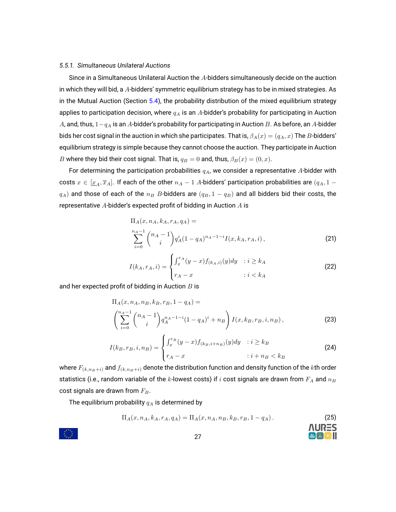# <span id="page-26-0"></span>*5.5.1. Simultaneous Unilateral Auctions*

Since in a Simultaneous Unilateral Auction the A-bidders simultaneously decide on the auction in which they will bid, a A-bidders' symmetric equilibrium strategy has to be in mixed strategies. As in the Mutual Auction (Section [5.4\)](#page-18-0), the probability distribution of the mixed equilibrium strategy applies to participation decision, where  $q_A$  is an A-bidder's probability for participating in Auction A, and, thus,  $1-q_A$  is an A-bidder's probability for participating in Auction B. As before, an A-bidder bids her cost signal in the auction in which she participates. That is,  $\beta_A(x)=(q_A,x)$  The  $B$ -bidders' equilibrium strategy is simple because they cannot choose the auction. They participate in Auction B where they bid their cost signal. That is,  $q_B = 0$  and, thus,  $\beta_B(x) = (0, x)$ .

For determining the participation probabilities  $q_A$ , we consider a representative A-bidder with costs  $x \in [\underline{x}_A, \overline{x}_A]$ . If each of the other  $n_A - 1$  A-bidders' participation probabilities are  $(q_A, 1$  $q_A$ ) and those of each of the  $n_B$  B-bidders are  $(q_B, 1 - q_B)$  and all bidders bid their costs, the representative  $A$ -bidder's expected profit of bidding in Auction  $A$  is

<span id="page-26-1"></span>
$$
\Pi_A(x, n_A, k_A, r_A, q_A) =
$$
\n
$$
\sum_{i=0}^{n_A-1} {n_A - 1 \choose i} q_A^i (1 - q_A)^{n_A - 1 - i} I(x, k_A, r_A, i),
$$
\n(21)

$$
I(k_A, r_A, i) = \begin{cases} \int_x^{r_A} (y - x) f_{(k_A, i)}(y) dy & : i \ge k_A \\ r_A - x & : i < k_A \end{cases} \tag{22}
$$

and her expected profit of bidding in Auction  $B$  is

$$
\Pi_A(x, n_A, n_B, k_B, r_B, 1 - q_A) =
$$
\n
$$
\left( \sum_{i=0}^{n_A - 1} \binom{n_A - 1}{i} q_A^{n_A - 1 - i} (1 - q_A)^i + n_B \right) I(x, k_B, r_B, i, n_B),
$$
\n(23)

$$
I(k_B, r_B, i, n_B) = \begin{cases} \int_x^{r_B} (y - x) f_{(k_B, i + n_B)}(y) dy & : i \ge k_B \\ r_A - x & : i + n_B < k_B \end{cases}
$$
 (24)

where  $F_{(k,n_B+i)}$  and  $f_{(k,n_B+i)}$  denote the distribution function and density function of the kth order statistics (i.e., random variable of the k-lowest costs) if  $i$  cost signals are drawn from  $F_A$  and  $n_B$ cost signals are drawn from  $F_B$ .

The equilibrium probability  $q_A$  is determined by

<span id="page-26-3"></span>
$$
\Pi_A(x, n_A, k_A, r_A, q_A) = \Pi_A(x, n_A, n_B, k_B, r_B, 1 - q_A).
$$
 (25)



<span id="page-26-2"></span>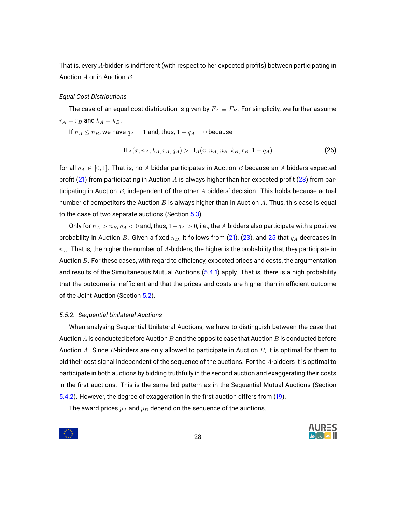That is, every A-bidder is indifferent (with respect to her expected profits) between participating in Auction A or in Auction B.

#### *Equal Cost Distributions*

The case of an equal cost distribution is given by  $F_A \equiv F_B$ . For simplicity, we further assume  $r_A = r_B$  and  $k_A = k_B$ .

If  $n_A \le n_B$ , we have  $q_A = 1$  and, thus,  $1 - q_A = 0$  because

$$
\Pi_A(x, n_A, k_A, r_A, q_A) > \Pi_A(x, n_A, n_B, k_B, r_B, 1 - q_A) \tag{26}
$$

for all  $q_A \in [0, 1]$ . That is, no A-bidder participates in Auction B because an A-bidders expected profit [\(21\)](#page-26-1) from participating in Auction A is always higher than her expected profit [\(23\)](#page-26-2) from participating in Auction  $B$ , independent of the other  $A$ -bidders' decision. This holds because actual number of competitors the Auction  $B$  is always higher than in Auction  $A$ . Thus, this case is equal to the case of two separate auctions (Section [5.3\)](#page-17-0).

Only for  $n_A > n_B$ ,  $q_A < 0$  and, thus,  $1-q_A > 0$ , i.e., the A-bidders also participate with a positive probability in Auction B. Given a fixed  $n_B$ , it follows from [\(21\)](#page-26-1), [\(23\)](#page-26-2), and [25](#page-26-3) that  $q_A$  decreases in  $n_A$ . That is, the higher the number of A-bidders, the higher is the probability that they participate in Auction B. For these cases, with regard to efficiency, expected prices and costs, the argumentation and results of the Simultaneous Mutual Auctions [\(5.4.1\)](#page-19-0) apply. That is, there is a high probability that the outcome is inefficient and that the prices and costs are higher than in efficient outcome of the Joint Auction (Section [5.2\)](#page-16-0).

#### <span id="page-27-0"></span>*5.5.2. Sequential Unilateral Auctions*

When analysing Sequential Unilateral Auctions, we have to distinguish between the case that Auction  $A$  is conducted before Auction  $B$  and the opposite case that Auction  $B$  is conducted before Auction  $A$ . Since  $B$ -bidders are only allowed to participate in Auction  $B$ , it is optimal for them to bid their cost signal independent of the sequence of the auctions. For the A-bidders it is optimal to participate in both auctions by bidding truthfully in the second auction and exaggerating their costs in the first auctions. This is the same bid pattern as in the Sequential Mutual Auctions (Section [5.4.2\)](#page-24-0). However, the degree of exaggeration in the first auction differs from [\(19\)](#page-24-3).

The award prices  $p_A$  and  $p_B$  depend on the sequence of the auctions.

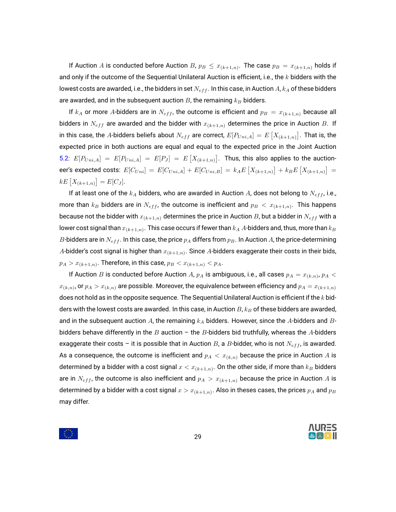If Auction  $A$  is conducted before Auction  $B$ ,  $p_B\,\leq\,x_{(k+1,n)}.$  The case  $p_B\,=\,x_{(k+1,n)}$  holds if and only if the outcome of the Sequential Unilateral Auction is efficient, i.e., the  $k$  bidders with the lowest costs are awarded, i.e., the bidders in set  $N_{eff}$ . In this case, in Auction A,  $k_A$  of these bidders are awarded, and in the subsequent auction  $B$ , the remaining  $k_B$  bidders.

If  $k_A$  or more A-bidders are in  $N_{eff}$ , the outcome is efficient and  $p_B = x_{(k+1,n)}$  because all bidders in  $N_{eff}$  are awarded and the bidder with  $x_{(k+1,n)}$  determines the price in Auction B. If in this case, the  $A$ -bidders beliefs about  $N_{eff}$  are correct,  $E[P_{Uni,A}] = E\left[X_{(k+1,n)}\right]$ . That is, the expected price in both auctions are equal and equal to the expected price in the Joint Auction [5.2:](#page-16-0)  $E[P_{Uni,A}] = E[P_{Uni,A}] = E[P_J] = E[X_{(k+1,n)}]$ . Thus, this also applies to the auctioneer's expected costs:  $E[C_{Uni}] = E[C_{Uni,A}] + E[C_{Uni,B}] = k_A E\left[X_{(k+1,n)}\right] + k_B E\left[X_{(k+1,n)}\right] =$  $kE[X_{(k+1,n)}] = E[C_J].$ 

If at least one of the  $k_A$  bidders, who are awarded in Auction A, does not belong to  $N_{eff}$ , i.e., more than  $k_B$  bidders are in  $N_{eff}$ , the outcome is inefficient and  $p_B\,<\,x_{(k+1,n)}.$  This happens because not the bidder with  $x_{(k+1,n)}$  determines the price in Auction B, but a bidder in  $N_{eff}$  with a lower cost signal than  $x_{(k+1,n)}.$  This case occurs if fewer than  $k_A$   $A$ -bidders and, thus, more than  $k_B$  $B$ -bidders are in  $N_{eff}$ . In this case, the price  $p_A$  differs from  $p_B$ . In Auction  $A$ , the price-determining  $A$ -bidder's cost signal is higher than  $x_{(k+1,n)}.$  Since  $A$ -bidders exaggerate their costs in their bids,  $p_A > x_{(k+1,n)}.$  Therefore, in this case,  $p_B < x_{(k+1,n)} < p_A.$ 

If Auction  $B$  is conducted before Auction  $A$ ,  $p_A$  is ambiguous, i.e., all cases  $p_A = x_{(k,n)}$ ,  $p_A <$  $x_{(k,n)}$ , or  $p_A > x_{(k,n)}$  are possible. Moreover, the equivalence between efficiency and  $p_A = x_{(k+1,n)}$ does not hold as in the opposite sequence. The Sequential Unilateral Auction is efficient if the  $k$  bidders with the lowest costs are awarded. In this case, in Auction  $B$ ,  $k_B$  of these bidders are awarded, and in the subsequent auction A, the remaining  $k_A$  bidders. However, since the A-bidders and Bbidders behave differently in the B auction – the B-bidders bid truthfully, whereas the A-bidders exaggerate their costs – it is possible that in Auction B, a B-bidder, who is not  $N_{eff}$ , is awarded. As a consequence, the outcome is inefficient and  $p_A < x_{(k,n)}$  because the price in Auction A is determined by a bidder with a cost signal  $x < x_{(k+1,n)}.$  On the other side, if more than  $k_B$  bidders are in  $N_{eff}$ , the outcome is also inefficient and  $p_A > x_{(k+1,n)}$  because the price in Auction A is determined by a bidder with a cost signal  $x>x_{(k+1,n)}.$  Also in theses cases, the prices  $p_A$  and  $p_B$ may differ.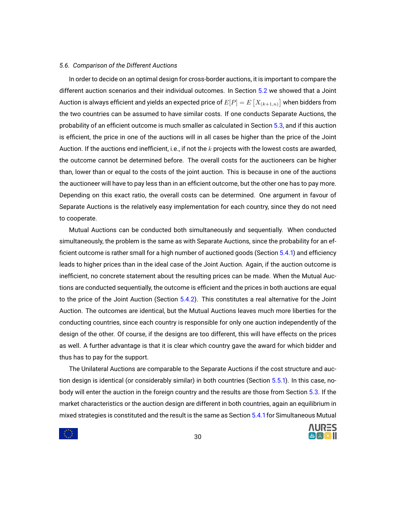# <span id="page-29-0"></span>*5.6. Comparison of the Different Auctions*

In order to decide on an optimal design for cross-border auctions, it is important to compare the different auction scenarios and their individual outcomes. In Section [5.2](#page-16-0) we showed that a Joint Auction is always efficient and yields an expected price of  $E[P]=E\left[X_{(k+1,n)}\right]$  when bidders from the two countries can be assumed to have similar costs. If one conducts Separate Auctions, the probability of an efficient outcome is much smaller as calculated in Section [5.3,](#page-17-0) and if this auction is efficient, the price in one of the auctions will in all cases be higher than the price of the Joint Auction. If the auctions end inefficient, i.e., if not the  $k$  projects with the lowest costs are awarded, the outcome cannot be determined before. The overall costs for the auctioneers can be higher than, lower than or equal to the costs of the joint auction. This is because in one of the auctions the auctioneer will have to pay less than in an efficient outcome, but the other one has to pay more. Depending on this exact ratio, the overall costs can be determined. One argument in favour of Separate Auctions is the relatively easy implementation for each country, since they do not need to cooperate.

Mutual Auctions can be conducted both simultaneously and sequentially. When conducted simultaneously, the problem is the same as with Separate Auctions, since the probability for an efficient outcome is rather small for a high number of auctioned goods (Section [5.4.1\)](#page-19-0) and efficiency leads to higher prices than in the ideal case of the Joint Auction. Again, if the auction outcome is inefficient, no concrete statement about the resulting prices can be made. When the Mutual Auctions are conducted sequentially, the outcome is efficient and the prices in both auctions are equal to the price of the Joint Auction (Section [5.4.2\)](#page-24-0). This constitutes a real alternative for the Joint Auction. The outcomes are identical, but the Mutual Auctions leaves much more liberties for the conducting countries, since each country is responsible for only one auction independently of the design of the other. Of course, if the designs are too different, this will have effects on the prices as well. A further advantage is that it is clear which country gave the award for which bidder and thus has to pay for the support.

The Unilateral Auctions are comparable to the Separate Auctions if the cost structure and auction design is identical (or considerably similar) in both countries (Section [5.5.1\)](#page-26-0). In this case, nobody will enter the auction in the foreign country and the results are those from Section [5.3.](#page-17-0) If the market characteristics or the auction design are different in both countries, again an equilibrium in mixed strategies is constituted and the result is the same as Section [5.4.1](#page-19-0) for Simultaneous Mutual

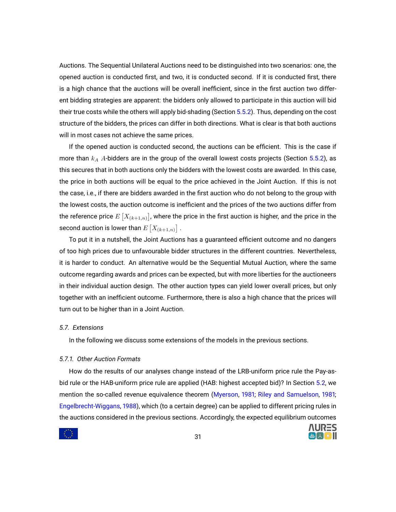Auctions. The Sequential Unilateral Auctions need to be distinguished into two scenarios: one, the opened auction is conducted first, and two, it is conducted second. If it is conducted first, there is a high chance that the auctions will be overall inefficient, since in the first auction two different bidding strategies are apparent: the bidders only allowed to participate in this auction will bid their true costs while the others will apply bid-shading (Section [5.5.2\)](#page-27-0). Thus, depending on the cost structure of the bidders, the prices can differ in both directions. What is clear is that both auctions will in most cases not achieve the same prices.

If the opened auction is conducted second, the auctions can be efficient. This is the case if more than  $k_A$  A-bidders are in the group of the overall lowest costs projects (Section [5.5.2\)](#page-27-0), as this secures that in both auctions only the bidders with the lowest costs are awarded. In this case, the price in both auctions will be equal to the price achieved in the Joint Auction. If this is not the case, i.e., if there are bidders awarded in the first auction who do not belong to the group with the lowest costs, the auction outcome is inefficient and the prices of the two auctions differ from the reference price  $E\left[X_{(k+1,n)}\right]$ , where the price in the first auction is higher, and the price in the second auction is lower than  $E\left[X_{(k+1,n)}\right]$  .

To put it in a nutshell, the Joint Auctions has a guaranteed efficient outcome and no dangers of too high prices due to unfavourable bidder structures in the different countries. Nevertheless, it is harder to conduct. An alternative would be the Sequential Mutual Auction, where the same outcome regarding awards and prices can be expected, but with more liberties for the auctioneers in their individual auction design. The other auction types can yield lower overall prices, but only together with an inefficient outcome. Furthermore, there is also a high chance that the prices will turn out to be higher than in a Joint Auction.

#### <span id="page-30-0"></span>*5.7. Extensions*

In the following we discuss some extensions of the models in the previous sections.

# <span id="page-30-1"></span>*5.7.1. Other Auction Formats*

How do the results of our analyses change instead of the LRB-uniform price rule the Pay-asbid rule or the HAB-uniform price rule are applied (HAB: highest accepted bid)? In Section [5.2,](#page-16-0) we mention the so-called revenue equivalence theorem [\(Myerson,](#page-37-2) [1981;](#page-37-2) [Riley and Samuelson,](#page-37-12) [1981;](#page-37-12) [Engelbrecht-Wiggans,](#page-35-6) [1988\)](#page-35-6), which (to a certain degree) can be applied to different pricing rules in the auctions considered in the previous sections. Accordingly, the expected equilibrium outcomes



**AURES**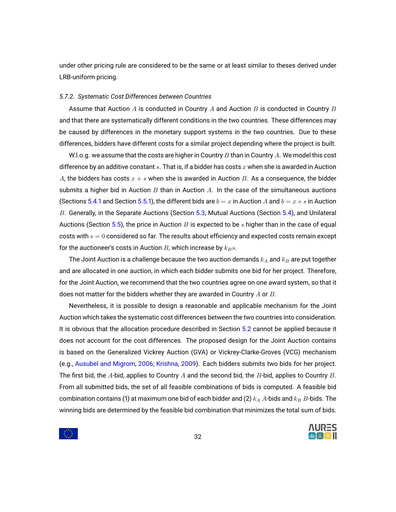under other pricing rule are considered to be the same or at least similar to theses derived under LRB-uniform pricing.

#### <span id="page-31-0"></span>*5.7.2. Systematic Cost Differences between Countries*

Assume that Auction  $A$  is conducted in Country  $A$  and Auction  $B$  is conducted in Country  $B$ and that there are systematically different conditions in the two countries. These differences may be caused by differences in the monetary support systems in the two countries. Due to these differences, bidders have different costs for a similar project depending where the project is built.

W.l.o.g. we assume that the costs are higher in Country  $B$  than in Country  $A$ . We model this cost difference by an additive constant  $s$ . That is, if a bidder has costs  $x$  when she is awarded in Auction A, the bidders has costs  $x + s$  when she is awarded in Auction B. As a consequence, the bidder submits a higher bid in Auction  $B$  than in Auction  $A$ . In the case of the simultaneous auctions (Sections [5.4.1](#page-19-0) and Section [5.5.1\)](#page-26-0), the different bids are  $b = x$  in Auction A and  $b = x + s$  in Auction B. Generally, in the Separate Auctions (Section [5.3,](#page-17-0) Mutual Auctions (Section [5.4\)](#page-18-0), and Unilateral Auctions (Section [5.5\)](#page-25-0), the price in Auction B is expected to be s higher than in the case of equal costs with  $s = 0$  considered so far. The results about efficiency and expected costs remain except for the auctioneer's costs in Auction  $B$ , which increase by  $k_B s$ .

The Joint Auction is a challenge because the two auction demands  $k_A$  and  $k_B$  are put together and are allocated in one auction, in which each bidder submits one bid for her project. Therefore, for the Joint Auction, we recommend that the two countries agree on one award system, so that it does not matter for the bidders whether they are awarded in Country  $A$  or  $B$ .

Nevertheless, it is possible to design a reasonable and applicable mechanism for the Joint Auction which takes the systematic cost differences between the two countries into consideration. It is obvious that the allocation procedure described in Section [5.2](#page-16-0) cannot be applied because it does not account for the cost differences. The proposed design for the Joint Auction contains is based on the Generalized Vickrey Auction (GVA) or Vickrey-Clarke-Groves (VCG) mechanism (e.g., [Ausubel and Migrom,](#page-35-10) [2006;](#page-35-10) [Krishna,](#page-36-1) [2009\)](#page-36-1). Each bidders submits two bids for her project. The first bid, the A-bid, applies to Country A and the second bid, the B-bid, applies to Country B. From all submitted bids, the set of all feasible combinations of bids is computed. A feasible bid combination contains (1) at maximum one bid of each bidder and (2)  $k_A$  A-bids and  $k_B$  B-bids. The winning bids are determined by the feasible bid combination that minimizes the total sum of bids.

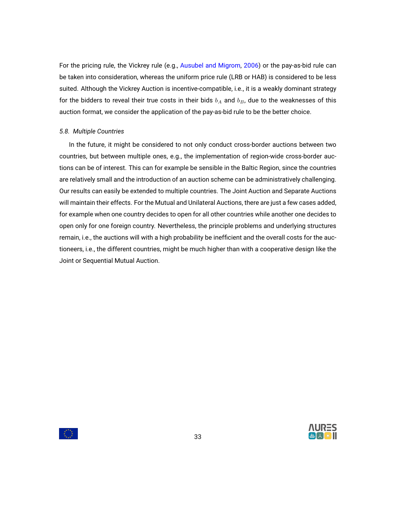For the pricing rule, the Vickrey rule (e.g., [Ausubel and Migrom,](#page-35-10) [2006\)](#page-35-10) or the pay-as-bid rule can be taken into consideration, whereas the uniform price rule (LRB or HAB) is considered to be less suited. Although the Vickrey Auction is incentive-compatible, i.e., it is a weakly dominant strategy for the bidders to reveal their true costs in their bids  $b_A$  and  $b_B$ , due to the weaknesses of this auction format, we consider the application of the pay-as-bid rule to be the better choice.

# <span id="page-32-0"></span>*5.8. Multiple Countries*

In the future, it might be considered to not only conduct cross-border auctions between two countries, but between multiple ones, e.g., the implementation of region-wide cross-border auctions can be of interest. This can for example be sensible in the Baltic Region, since the countries are relatively small and the introduction of an auction scheme can be administratively challenging. Our results can easily be extended to multiple countries. The Joint Auction and Separate Auctions will maintain their effects. For the Mutual and Unilateral Auctions, there are just a few cases added, for example when one country decides to open for all other countries while another one decides to open only for one foreign country. Nevertheless, the principle problems and underlying structures remain, i.e., the auctions will with a high probability be inefficient and the overall costs for the auctioneers, i.e., the different countries, might be much higher than with a cooperative design like the Joint or Sequential Mutual Auction.

33



 $\mathcal{L}(\mathcal{X})$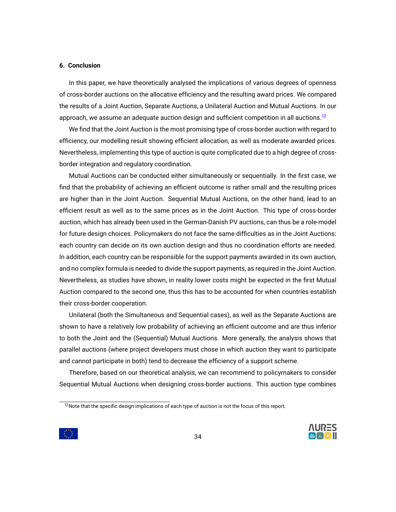# <span id="page-33-0"></span>**6. Conclusion**

In this paper, we have theoretically analysed the implications of various degrees of openness of cross-border auctions on the allocative efficiency and the resulting award prices. We compared the results of a Joint Auction, Separate Auctions, a Unilateral Auction and Mutual Auctions. In our approach, we assume an adequate auction design and sufficient competition in all auctions.<sup>[12](#page-33-1)</sup>

We find that the Joint Auction is the most promising type of cross-border auction with regard to efficiency, our modelling result showing efficient allocation, as well as moderate awarded prices. Nevertheless, implementing this type of auction is quite complicated due to a high degree of crossborder integration and regulatory coordination.

Mutual Auctions can be conducted either simultaneously or sequentially. In the first case, we find that the probability of achieving an efficient outcome is rather small and the resulting prices are higher than in the Joint Auction. Sequential Mutual Auctions, on the other hand, lead to an efficient result as well as to the same prices as in the Joint Auction. This type of cross-border auction, which has already been used in the German-Danish PV auctions, can thus be a role-model for future design choices. Policymakers do not face the same difficulties as in the Joint Auctions: each country can decide on its own auction design and thus no coordination efforts are needed. In addition, each country can be responsible for the support payments awarded in its own auction, and no complex formula is needed to divide the support payments, as required in the Joint Auction. Nevertheless, as studies have shown, in reality lower costs might be expected in the first Mutual Auction compared to the second one, thus this has to be accounted for when countries establish their cross-border cooperation.

Unilateral (both the Simultaneous and Sequential cases), as well as the Separate Auctions are shown to have a relatively low probability of achieving an efficient outcome and are thus inferior to both the Joint and the (Sequential) Mutual Auctions. More generally, the analysis shows that parallel auctions (where project developers must chose in which auction they want to participate and cannot participate in both) tend to decrease the efficiency of a support scheme.

Therefore, based on our theoretical analysis, we can recommend to policymakers to consider Sequential Mutual Auctions when designing cross-border auctions. This auction type combines





<span id="page-33-1"></span><sup>&</sup>lt;sup>12</sup>Note that the specific design implications of each type of auction is not the focus of this report.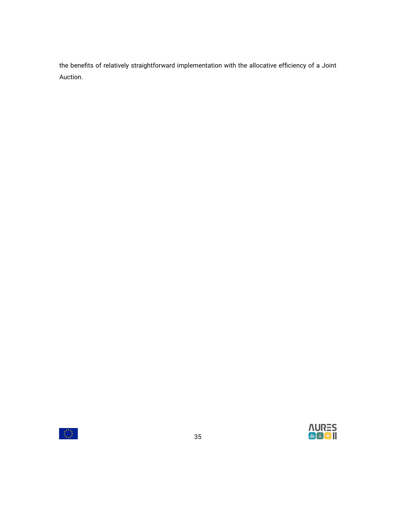the benefits of relatively straightforward implementation with the allocative efficiency of a Joint Auction.



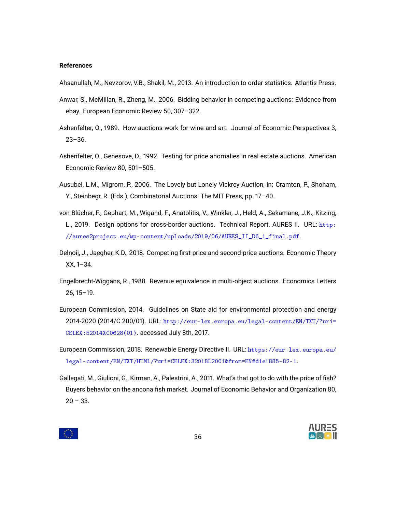# **References**

<span id="page-35-5"></span>Ahsanullah, M., Nevzorov, V.B., Shakil, M., 2013. An introduction to order statistics. Atlantis Press.

- <span id="page-35-4"></span>Anwar, S., McMillan, R., Zheng, M., 2006. Bidding behavior in competing auctions: Evidence from ebay. European Economic Review 50, 307–322.
- <span id="page-35-7"></span>Ashenfelter, O., 1989. How auctions work for wine and art. Journal of Economic Perspectives 3, 23–36.
- <span id="page-35-8"></span>Ashenfelter, O., Genesove, D., 1992. Testing for price anomalies in real estate auctions. American Economic Review 80, 501–505.
- <span id="page-35-10"></span>Ausubel, L.M., Migrom, P., 2006. The Lovely but Lonely Vickrey Auction, in: Cramton, P., Shoham, Y., Steinbegr, R. (Eds.), Combinatorial Auctions. The MIT Press, pp. 17–40.
- <span id="page-35-0"></span>von Blücher, F., Gephart, M., Wigand, F., Anatolitis, V., Winkler, J., Held, A., Sekamane, J.K., Kitzing, L., 2019. Design options for cross-border auctions. Technical Report. AURES II. URL: [http:](http://aures2project.eu/wp-content/uploads/2019/06/AURES_II_D6_1_final.pdf) [//aures2project.eu/wp-content/uploads/2019/06/AURES\\_II\\_D6\\_1\\_final.pdf](http://aures2project.eu/wp-content/uploads/2019/06/AURES_II_D6_1_final.pdf).
- <span id="page-35-3"></span>Delnoij, J., Jaegher, K.D., 2018. Competing first-price and second-price auctions. Economic Theory XX, 1–34.
- <span id="page-35-6"></span>Engelbrecht-Wiggans, R., 1988. Revenue equivalence in multi-object auctions. Economics Letters 26, 15–19.
- <span id="page-35-1"></span>European Commission, 2014. Guidelines on State aid for environmental protection and energy 2014-2020 (2014/C 200/01). URL: [http://eur-lex.europa.eu/legal-content/EN/TXT/?uri=](http://eur-lex.europa.eu/legal-content/EN/TXT/?uri=CELEX:52014XC0628(01)) [CELEX:52014XC0628\(01\)](http://eur-lex.europa.eu/legal-content/EN/TXT/?uri=CELEX:52014XC0628(01)). accessed July 8th, 2017.
- <span id="page-35-2"></span>European Commission, 2018. Renewable Energy Directive II. URL: [https://eur-lex.europa.eu/](https://eur-lex.europa.eu/legal-content/EN/TXT/HTML/?uri=CELEX:32018L2001&from=EN#d1e1885-82-1) [legal-content/EN/TXT/HTML/?uri=CELEX:32018L2001&from=EN#d1e1885-82-1](https://eur-lex.europa.eu/legal-content/EN/TXT/HTML/?uri=CELEX:32018L2001&from=EN#d1e1885-82-1).
- <span id="page-35-9"></span>Gallegati, M., Giulioni, G., Kirman, A., Palestrini, A., 2011. What's that got to do with the price of fish? Buyers behavior on the ancona fish market. Journal of Economic Behavior and Organization 80,  $20 - 33.$



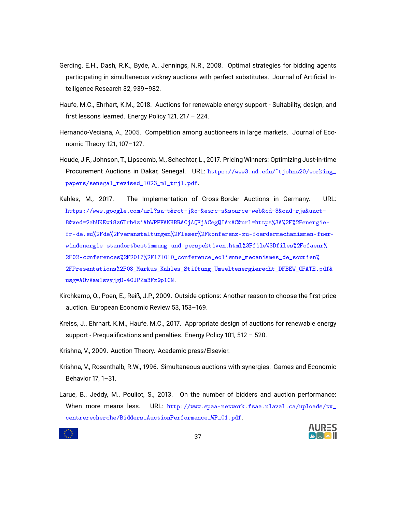- <span id="page-36-5"></span>Gerding, E.H., Dash, R.K., Byde, A., Jennings, N.R., 2008. Optimal strategies for bidding agents participating in simultaneous vickrey auctions with perfect substitutes. Journal of Artificial Intelligence Research 32, 939–982.
- <span id="page-36-9"></span>Haufe, M.C., Ehrhart, K.M., 2018. Auctions for renewable energy support - Suitability, design, and first lessons learned. Energy Policy 121, 217 – 224.
- <span id="page-36-3"></span>Hernando-Veciana, A., 2005. Competition among auctioneers in large markets. Journal of Economic Theory 121, 107–127.
- <span id="page-36-2"></span>Houde, J.F., Johnson, T., Lipscomb, M., Schechter, L., 2017. Pricing Winners: Optimizing Just-in-time Procurement Auctions in Dakar, Senegal. URL: [https://www3.nd.edu/~tjohns20/working\\_](https://www3.nd.edu/~tjohns20/working_papers/senegal_revised_1023_ml_trj1.pdf) [papers/senegal\\_revised\\_1023\\_ml\\_trj1.pdf](https://www3.nd.edu/~tjohns20/working_papers/senegal_revised_1023_ml_trj1.pdf).
- <span id="page-36-0"></span>Kahles, M., 2017. The Implementation of Cross-Border Auctions in Germany. URL: [https://www.google.com/url?sa=t&rct=j&q=&esrc=s&source=web&cd=3&cad=rja&uact=](https://www.google.com/url?sa=t&rct=j&q=&esrc=s&source=web&cd=3&cad=rja&uact=8&ved=2ahUKEwi8z6Trh4ziAhWPPFAKHRRACjAQFjACegQIAxAC&url=https%3A%2F%2Fenergie-fr-de.eu%2Fde%2Fveranstaltungen%2Fleser%2Fkonferenz-zu-foerdermechanismen-fuer-windenergie-standortbestimmung-und-perspektiven.html%3Ffile%3Dfiles%2Fofaenr%2F02-conferences%2F2017%2F171010_conference_eolienne_mecanismes_de_soutien%2FPresentations%2F08_Markus_Kahles_Stiftung_Umweltenergierecht_DFBEW_OFATE.pdf&usg=AOvVaw1svyjgO-40JPZm3FzGp1CN) [8&ved=2ahUKEwi8z6Trh4ziAhWPPFAKHRRACjAQFjACegQIAxAC&url=https%3A%2F%2Fenergie](https://www.google.com/url?sa=t&rct=j&q=&esrc=s&source=web&cd=3&cad=rja&uact=8&ved=2ahUKEwi8z6Trh4ziAhWPPFAKHRRACjAQFjACegQIAxAC&url=https%3A%2F%2Fenergie-fr-de.eu%2Fde%2Fveranstaltungen%2Fleser%2Fkonferenz-zu-foerdermechanismen-fuer-windenergie-standortbestimmung-und-perspektiven.html%3Ffile%3Dfiles%2Fofaenr%2F02-conferences%2F2017%2F171010_conference_eolienne_mecanismes_de_soutien%2FPresentations%2F08_Markus_Kahles_Stiftung_Umweltenergierecht_DFBEW_OFATE.pdf&usg=AOvVaw1svyjgO-40JPZm3FzGp1CN)[fr-de.eu%2Fde%2Fveranstaltungen%2Fleser%2Fkonferenz-zu-foerdermechanismen-fuer](https://www.google.com/url?sa=t&rct=j&q=&esrc=s&source=web&cd=3&cad=rja&uact=8&ved=2ahUKEwi8z6Trh4ziAhWPPFAKHRRACjAQFjACegQIAxAC&url=https%3A%2F%2Fenergie-fr-de.eu%2Fde%2Fveranstaltungen%2Fleser%2Fkonferenz-zu-foerdermechanismen-fuer-windenergie-standortbestimmung-und-perspektiven.html%3Ffile%3Dfiles%2Fofaenr%2F02-conferences%2F2017%2F171010_conference_eolienne_mecanismes_de_soutien%2FPresentations%2F08_Markus_Kahles_Stiftung_Umweltenergierecht_DFBEW_OFATE.pdf&usg=AOvVaw1svyjgO-40JPZm3FzGp1CN)[windenergie-standortbestimmung-und-perspektiven.html%3Ffile%3Dfiles%2Fofaenr%](https://www.google.com/url?sa=t&rct=j&q=&esrc=s&source=web&cd=3&cad=rja&uact=8&ved=2ahUKEwi8z6Trh4ziAhWPPFAKHRRACjAQFjACegQIAxAC&url=https%3A%2F%2Fenergie-fr-de.eu%2Fde%2Fveranstaltungen%2Fleser%2Fkonferenz-zu-foerdermechanismen-fuer-windenergie-standortbestimmung-und-perspektiven.html%3Ffile%3Dfiles%2Fofaenr%2F02-conferences%2F2017%2F171010_conference_eolienne_mecanismes_de_soutien%2FPresentations%2F08_Markus_Kahles_Stiftung_Umweltenergierecht_DFBEW_OFATE.pdf&usg=AOvVaw1svyjgO-40JPZm3FzGp1CN) [2F02-conferences%2F2017%2F171010\\_conference\\_eolienne\\_mecanismes\\_de\\_soutien%](https://www.google.com/url?sa=t&rct=j&q=&esrc=s&source=web&cd=3&cad=rja&uact=8&ved=2ahUKEwi8z6Trh4ziAhWPPFAKHRRACjAQFjACegQIAxAC&url=https%3A%2F%2Fenergie-fr-de.eu%2Fde%2Fveranstaltungen%2Fleser%2Fkonferenz-zu-foerdermechanismen-fuer-windenergie-standortbestimmung-und-perspektiven.html%3Ffile%3Dfiles%2Fofaenr%2F02-conferences%2F2017%2F171010_conference_eolienne_mecanismes_de_soutien%2FPresentations%2F08_Markus_Kahles_Stiftung_Umweltenergierecht_DFBEW_OFATE.pdf&usg=AOvVaw1svyjgO-40JPZm3FzGp1CN) [2FPresentations%2F08\\_Markus\\_Kahles\\_Stiftung\\_Umweltenergierecht\\_DFBEW\\_OFATE.pdf&](https://www.google.com/url?sa=t&rct=j&q=&esrc=s&source=web&cd=3&cad=rja&uact=8&ved=2ahUKEwi8z6Trh4ziAhWPPFAKHRRACjAQFjACegQIAxAC&url=https%3A%2F%2Fenergie-fr-de.eu%2Fde%2Fveranstaltungen%2Fleser%2Fkonferenz-zu-foerdermechanismen-fuer-windenergie-standortbestimmung-und-perspektiven.html%3Ffile%3Dfiles%2Fofaenr%2F02-conferences%2F2017%2F171010_conference_eolienne_mecanismes_de_soutien%2FPresentations%2F08_Markus_Kahles_Stiftung_Umweltenergierecht_DFBEW_OFATE.pdf&usg=AOvVaw1svyjgO-40JPZm3FzGp1CN) [usg=AOvVaw1svyjgO-40JPZm3FzGp1CN](https://www.google.com/url?sa=t&rct=j&q=&esrc=s&source=web&cd=3&cad=rja&uact=8&ved=2ahUKEwi8z6Trh4ziAhWPPFAKHRRACjAQFjACegQIAxAC&url=https%3A%2F%2Fenergie-fr-de.eu%2Fde%2Fveranstaltungen%2Fleser%2Fkonferenz-zu-foerdermechanismen-fuer-windenergie-standortbestimmung-und-perspektiven.html%3Ffile%3Dfiles%2Fofaenr%2F02-conferences%2F2017%2F171010_conference_eolienne_mecanismes_de_soutien%2FPresentations%2F08_Markus_Kahles_Stiftung_Umweltenergierecht_DFBEW_OFATE.pdf&usg=AOvVaw1svyjgO-40JPZm3FzGp1CN).
- <span id="page-36-7"></span>Kirchkamp, O., Poen, E., Reiß, J.P., 2009. Outside options: Another reason to choose the first-price auction. European Economic Review 53, 153–169.
- <span id="page-36-8"></span>Kreiss, J., Ehrhart, K.M., Haufe, M.C., 2017. Appropriate design of auctions for renewable energy support - Prequalifications and penalties. Energy Policy 101, 512 – 520.
- <span id="page-36-1"></span>Krishna, V., 2009. Auction Theory. Academic press/Elsevier.
- <span id="page-36-6"></span>Krishna, V., Rosenthalb, R.W., 1996. Simultaneous auctions with synergies. Games and Economic Behavior 17, 1–31.
- <span id="page-36-4"></span>Larue, B., Jeddy, M., Pouliot, S., 2013. On the number of bidders and auction performance: When more means less. URL:  $http://www.spaa-network.fsaa.ulaval.ca-uploads/tx_$ [centrerecherche/Bidders\\_AuctionPerformance\\_WP\\_01.pdf](http://www.spaa-network.fsaa.ulaval.ca/uploads/tx_centrerecherche/Bidders_AuctionPerformance_WP_01.pdf).

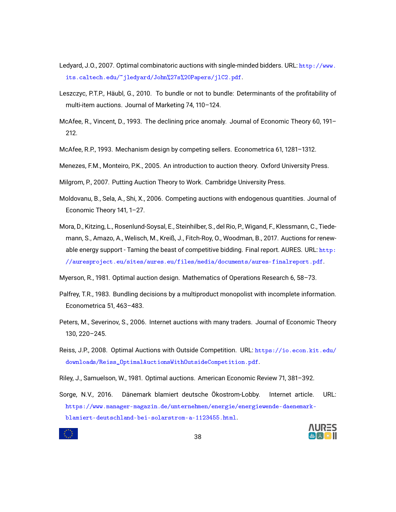- <span id="page-37-8"></span>Ledyard, J.O., 2007. Optimal combinatoric auctions with single-minded bidders. URL: [http://www.](http://www.its.caltech.edu/~jledyard/John%27s%20Papers/jlC2.pdf) [its.caltech.edu/~jledyard/John%27s%20Papers/jlC2.pdf](http://www.its.caltech.edu/~jledyard/John%27s%20Papers/jlC2.pdf).
- <span id="page-37-4"></span>Leszczyc, P.T.P., Häubl, G., 2010. To bundle or not to bundle: Determinants of the profitability of multi-item auctions. Journal of Marketing 74, 110–124.
- <span id="page-37-13"></span>McAfee, R., Vincent, D., 1993. The declining price anomaly. Journal of Economic Theory 60, 191– 212.
- <span id="page-37-7"></span>McAfee, R.P., 1993. Mechanism design by competing sellers. Econometrica 61, 1281–1312.

<span id="page-37-10"></span>Menezes, F.M., Monteiro, P.K., 2005. An introduction to auction theory. Oxford University Press.

- <span id="page-37-11"></span>Milgrom, P., 2007. Putting Auction Theory to Work. Cambridge University Press.
- <span id="page-37-5"></span>Moldovanu, B., Sela, A., Shi, X., 2006. Competing auctions with endogenous quantities. Journal of Economic Theory 141, 1–27.
- <span id="page-37-0"></span>Mora, D., Kitzing, L., Rosenlund-Soysal, E., Steinhilber, S., del Rio, P., Wigand, F., Klessmann, C., Tiedemann, S., Amazo, A., Welisch, M., Kreiß, J., Fitch-Roy, O., Woodman, B., 2017. Auctions for renewable energy support - Taming the beast of competitive bidding. Final report. AURES. URL: [http:](http://auresproject.eu/sites/aures.eu/files/media/documents/aures-finalreport.pdf) [//auresproject.eu/sites/aures.eu/files/media/documents/aures-finalreport.pdf](http://auresproject.eu/sites/aures.eu/files/media/documents/aures-finalreport.pdf).
- <span id="page-37-2"></span>Myerson, R., 1981. Optimal auction design. Mathematics of Operations Research 6, 58–73.
- <span id="page-37-3"></span>Palfrey, T.R., 1983. Bundling decisions by a multiproduct monopolist with incomplete information. Econometrica 51, 463–483.
- <span id="page-37-6"></span>Peters, M., Severinov, S., 2006. Internet auctions with many traders. Journal of Economic Theory 130, 220–245.
- <span id="page-37-9"></span>Reiss, J.P., 2008. Optimal Auctions with Outside Competition. URL: [https://io.econ.kit.edu/](https://io.econ.kit.edu/downloads/Reiss_OptimalAuctionsWithOutsideCompetition.pdf) [downloads/Reiss\\_OptimalAuctionsWithOutsideCompetition.pdf](https://io.econ.kit.edu/downloads/Reiss_OptimalAuctionsWithOutsideCompetition.pdf).

<span id="page-37-12"></span>Riley, J., Samuelson, W., 1981. Optimal auctions. American Economic Review 71, 381–392.

<span id="page-37-1"></span>Sorge, N.V., 2016. Dänemark blamiert deutsche Ökostrom-Lobby. Internet article. URL: [https://www.manager-magazin.de/unternehmen/energie/energiewende-daenemark](https://www.manager-magazin.de/unternehmen/energie/energiewende-daenemark-blamiert-deutschland-bei-solarstrom-a-1123455.html)[blamiert-deutschland-bei-solarstrom-a-1123455.html](https://www.manager-magazin.de/unternehmen/energie/energiewende-daenemark-blamiert-deutschland-bei-solarstrom-a-1123455.html).

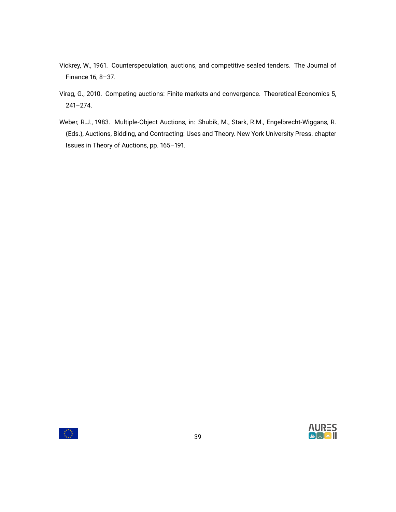- <span id="page-38-0"></span>Vickrey, W., 1961. Counterspeculation, auctions, and competitive sealed tenders. The Journal of Finance 16, 8–37.
- <span id="page-38-1"></span>Virag, G., 2010. Competing auctions: Finite markets and convergence. Theoretical Economics 5, 241–274.
- <span id="page-38-2"></span>Weber, R.J., 1983. Multiple-Object Auctions, in: Shubik, M., Stark, R.M., Engelbrecht-Wiggans, R. (Eds.), Auctions, Bidding, and Contracting: Uses and Theory. New York University Press. chapter Issues in Theory of Auctions, pp. 165–191.

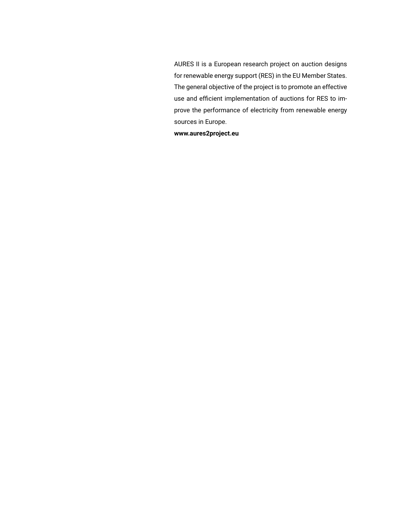AURES II is a European research project on auction designs for renewable energy support (RES) in the EU Member States. The general objective of the project is to promote an effective use and efficient implementation of auctions for RES to improve the performance of electricity from renewable energy sources in Europe.

**www.aures2project.eu**